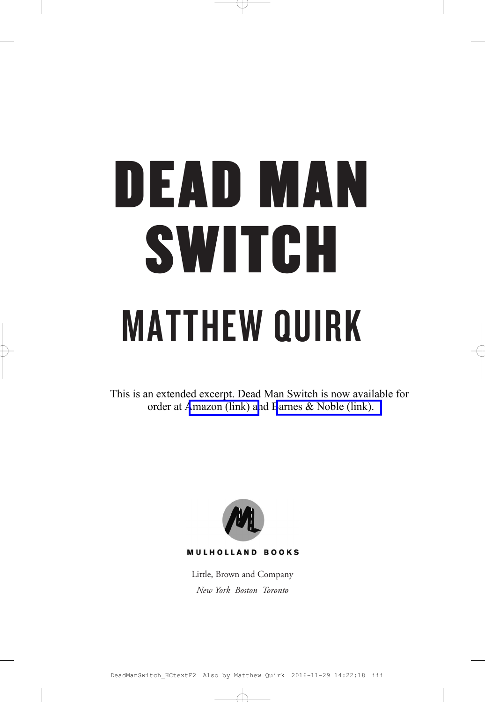# DEAD MAN SWITCH MATTHEW QUIRK

 $\forall$ 

This is an extended excerpt. Dead Man Switch is now available for order at [Amazon \(link\) an](https://www.amazon.com/Dead-Man-Switch-Matthew-Quirk/dp/0316259233)d [Barnes & Noble \(link\).](http://www.barnesandnoble.com/w/dead-man-switch-matthew-quirk/1124064143)



**MULHOLLAND BOOKS** 

Little, Brown and Company *New York Boston Toronto*

DeadManSwitch\_HCtextF2 Also by Matthew Quirk 2016-11-29 14:22:18 iii

 $\overline{\mathbb{A}}$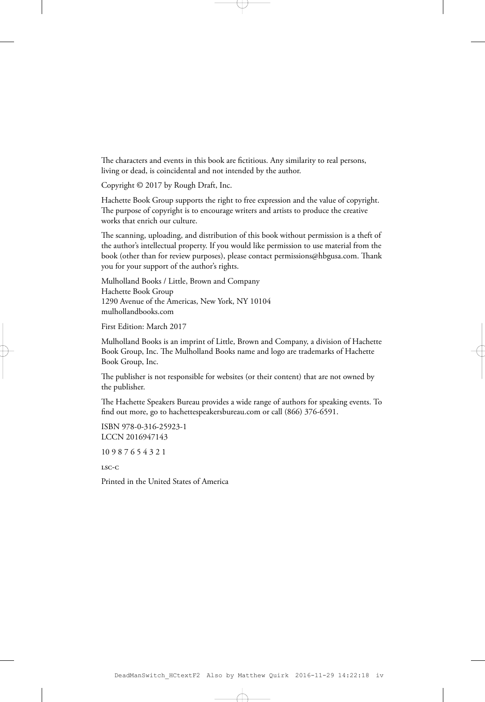The characters and events in this book are fictitious. Any similarity to real persons, living or dead, is coincidental and not intended by the author.

Copyright © 2017 by Rough Draft, Inc.

Hachette Book Group supports the right to free expression and the value of copyright. The purpose of copyright is to encourage writers and artists to produce the creative works that enrich our culture.

The scanning, uploading, and distribution of this book without permission is a theft of the author's intellectual property. If you would like permission to use material from the book (other than for review purposes), please contact permissions@hbgusa.com. Thank you for your support of the author's rights.

Mulholland Books / Little, Brown and Company Hachette Book Group 1290 Avenue of the Americas, New York, NY 10104 mulhollandbooks.com

First Edition: March 2017

Mulholland Books is an imprint of Little, Brown and Company, a division of Hachette Book Group, Inc. The Mulholland Books name and logo are trademarks of Hachette Book Group, Inc.

The publisher is not responsible for websites (or their content) that are not owned by the publisher.

The Hachette Speakers Bureau provides a wide range of authors for speaking events. To find out more, go to hachettespeakersbureau.com or call (866) 376-6591.

ISBN 978-0-316-25923-1 LCCN 2016947143

10 9 8 7 6 5 4 3 2 1

lsc-c

Printed in the United States of America

△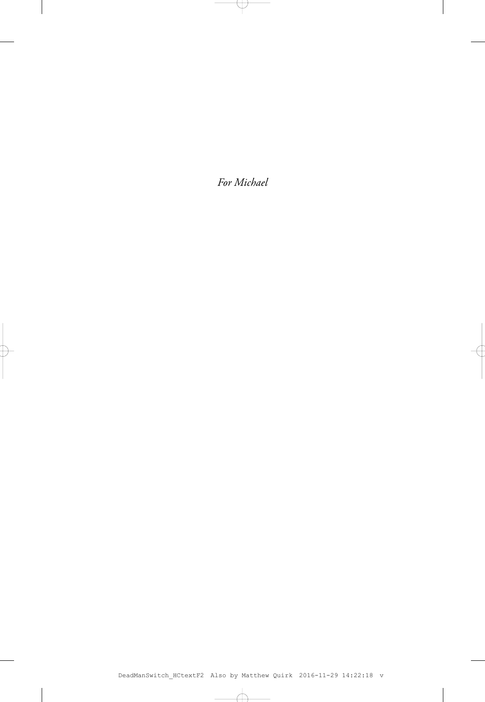*For Michael*

 $\overline{\Psi}$ 

 $\overline{\phantom{a}}$ 

Ŧ

—

 $\overline{\phantom{a}}$ 

€

</u>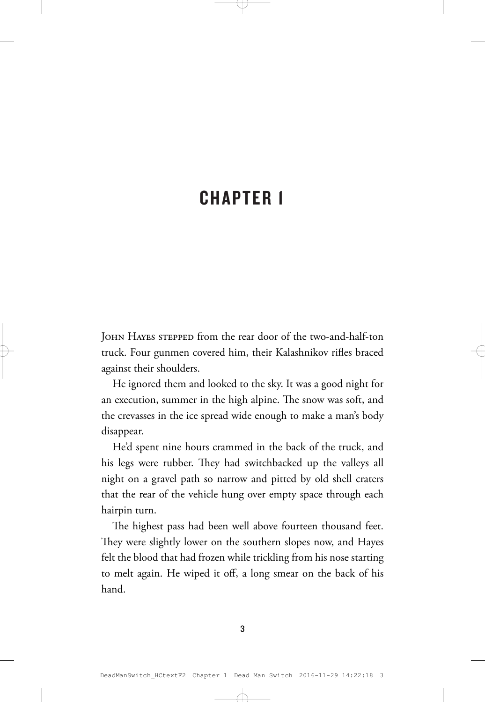# CHAPTER 1

JOHN HAYES STEPPED from the rear door of the two-and-half-ton truck. Four gunmen covered him, their Kalashnikov rifles braced against their shoulders.

He ignored them and looked to the sky. It was a good night for an execution, summer in the high alpine. The snow was soft, and the crevasses in the ice spread wide enough to make a man's body disappear.

He'd spent nine hours crammed in the back of the truck, and his legs were rubber. They had switchbacked up the valleys all night on a gravel path so narrow and pitted by old shell craters that the rear of the vehicle hung over empty space through each hairpin turn.

The highest pass had been well above fourteen thousand feet. They were slightly lower on the southern slopes now, and Hayes felt the blood that had frozen while trickling from his nose starting to melt again. He wiped it off, a long smear on the back of his hand.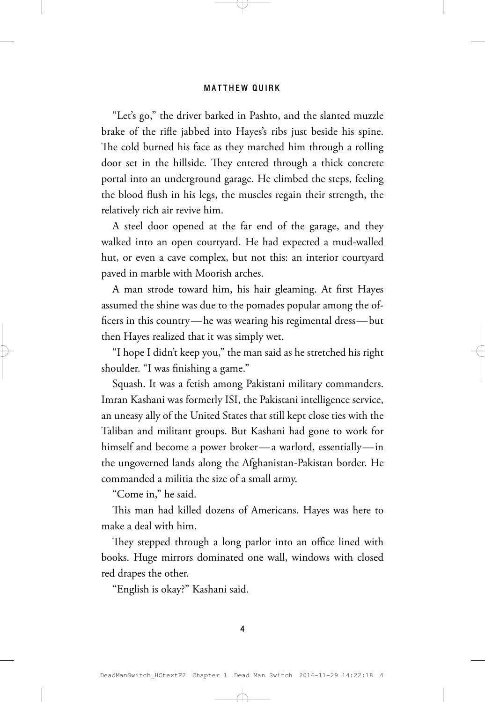"Let's go," the driver barked in Pashto, and the slanted muzzle brake of the rifle jabbed into Hayes's ribs just beside his spine. The cold burned his face as they marched him through a rolling door set in the hillside. They entered through a thick concrete portal into an underground garage. He climbed the steps, feeling the blood flush in his legs, the muscles regain their strength, the relatively rich air revive him.

A steel door opened at the far end of the garage, and they walked into an open courtyard. He had expected a mud-walled hut, or even a cave complex, but not this: an interior courtyard paved in marble with Moorish arches.

A man strode toward him, his hair gleaming. At first Hayes assumed the shine was due to the pomades popular among the officers in this country—he was wearing his regimental dress—but then Hayes realized that it was simply wet.

"I hope I didn't keep you," the man said as he stretched his right shoulder. "I was finishing a game."

Squash. It was a fetish among Pakistani military commanders. Imran Kashani was formerly ISI, the Pakistani intelligence service, an uneasy ally of the United States that still kept close ties with the Taliban and militant groups. But Kashani had gone to work for himself and become a power broker—a warlord, essentially—in the ungoverned lands along the Afghanistan-Pakistan border. He commanded a militia the size of a small army.

"Come in," he said.

This man had killed dozens of Americans. Hayes was here to make a deal with him.

They stepped through a long parlor into an office lined with books. Huge mirrors dominated one wall, windows with closed red drapes the other.

"English is okay?" Kashani said.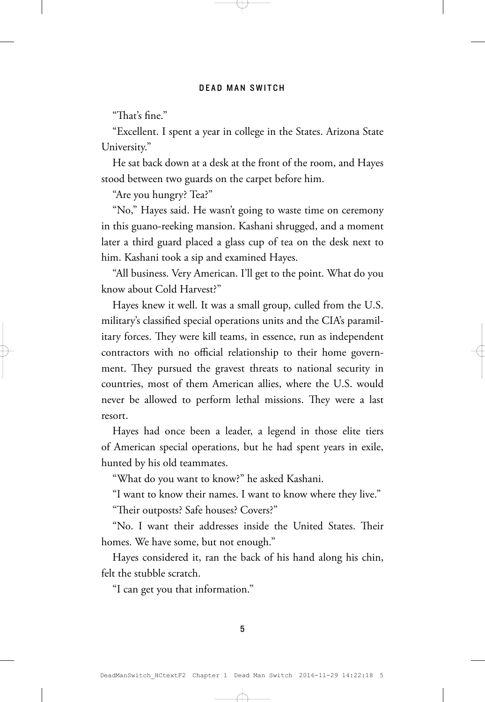"That's fine."

"Excellent. I spent a year in college in the States. Arizona State University."

He sat back down at a desk at the front of the room, and Hayes stood between two guards on the carpet before him.

"Are you hungry? Tea?"

"No," Hayes said. He wasn't going to waste time on ceremony in this guano-reeking mansion. Kashani shrugged, and a moment later a third guard placed a glass cup of tea on the desk next to him. Kashani took a sip and examined Hayes.

"All business. Very American. I'll get to the point. What do you know about Cold Harvest?"

Hayes knew it well. It was a small group, culled from the U.S. military's classified special operations units and the CIA's paramilitary forces. They were kill teams, in essence, run as independent contractors with no official relationship to their home government. They pursued the gravest threats to national security in countries, most of them American allies, where the U.S. would never be allowed to perform lethal missions. They were a last resort.

Hayes had once been a leader, a legend in those elite tiers of American special operations, but he had spent years in exile, hunted by his old teammates.

"What do you want to know?" he asked Kashani.

"I want to know their names. I want to know where they live."

"Their outposts? Safe houses? Covers?"

"No. I want their addresses inside the United States. Their homes. We have some, but not enough."

Hayes considered it, ran the back of his hand along his chin, felt the stubble scratch.

"I can get you that information."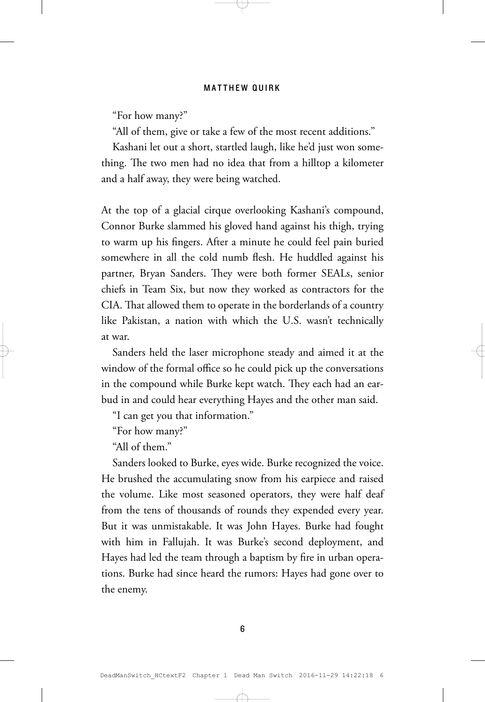"For how many?"

"All of them, give or take a few of the most recent additions."

Kashani let out a short, startled laugh, like he'd just won something. The two men had no idea that from a hilltop a kilometer and a half away, they were being watched.

At the top of a glacial cirque overlooking Kashani's compound, Connor Burke slammed his gloved hand against his thigh, trying to warm up his fingers. After a minute he could feel pain buried somewhere in all the cold numb flesh. He huddled against his partner, Bryan Sanders. They were both former SEALs, senior chiefs in Team Six, but now they worked as contractors for the CIA. That allowed them to operate in the borderlands of a country like Pakistan, a nation with which the U.S. wasn't technically at war.

Sanders held the laser microphone steady and aimed it at the window of the formal office so he could pick up the conversations in the compound while Burke kept watch. They each had an earbud in and could hear everything Hayes and the other man said.

"I can get you that information."

"For how many?"

"All of them."

Sanders looked to Burke, eyes wide. Burke recognized the voice. He brushed the accumulating snow from his earpiece and raised the volume. Like most seasoned operators, they were half deaf from the tens of thousands of rounds they expended every year. But it was unmistakable. It was John Hayes. Burke had fought with him in Fallujah. It was Burke's second deployment, and Hayes had led the team through a baptism by fire in urban operations. Burke had since heard the rumors: Hayes had gone over to the enemy.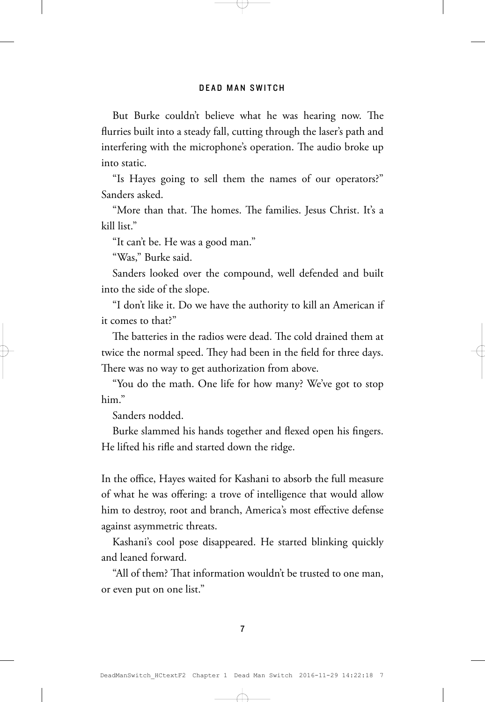But Burke couldn't believe what he was hearing now. The flurries built into a steady fall, cutting through the laser's path and interfering with the microphone's operation. The audio broke up into static.

"Is Hayes going to sell them the names of our operators?" Sanders asked.

"More than that. The homes. The families. Jesus Christ. It's a kill list."

"It can't be. He was a good man."

"Was," Burke said.

Sanders looked over the compound, well defended and built into the side of the slope.

"I don't like it. Do we have the authority to kill an American if it comes to that?"

The batteries in the radios were dead. The cold drained them at twice the normal speed. They had been in the field for three days. There was no way to get authorization from above.

"You do the math. One life for how many? We've got to stop him."

Sanders nodded.

Burke slammed his hands together and flexed open his fingers. He lifted his rifle and started down the ridge.

In the office, Hayes waited for Kashani to absorb the full measure of what he was offering: a trove of intelligence that would allow him to destroy, root and branch, America's most effective defense against asymmetric threats.

Kashani's cool pose disappeared. He started blinking quickly and leaned forward.

"All of them? That information wouldn't be trusted to one man, or even put on one list."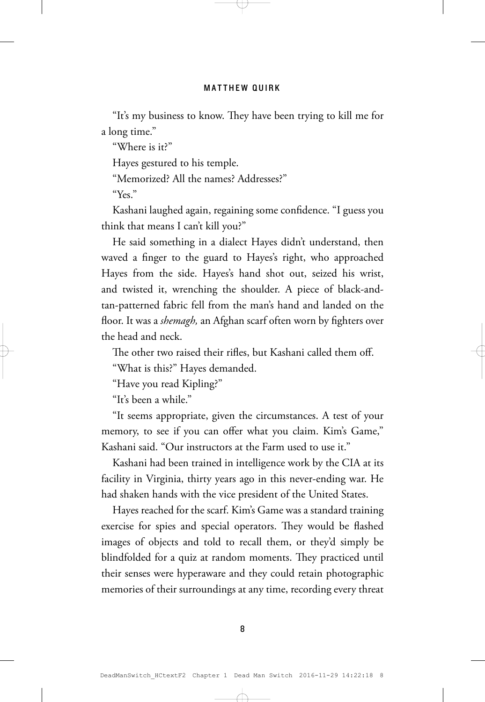"It's my business to know. They have been trying to kill me for a long time."

"Where is it?"

Hayes gestured to his temple.

"Memorized? All the names? Addresses?"

"Yes."

Kashani laughed again, regaining some confidence. "I guess you think that means I can't kill you?"

He said something in a dialect Hayes didn't understand, then waved a finger to the guard to Hayes's right, who approached Hayes from the side. Hayes's hand shot out, seized his wrist, and twisted it, wrenching the shoulder. A piece of black-andtan-patterned fabric fell from the man's hand and landed on the floor. It was a *shemagh,* an Afghan scarf often worn by fighters over the head and neck.

The other two raised their rifles, but Kashani called them off.

"What is this?" Hayes demanded.

"Have you read Kipling?"

"It's been a while."

"It seems appropriate, given the circumstances. A test of your memory, to see if you can offer what you claim. Kim's Game," Kashani said. "Our instructors at the Farm used to use it."

Kashani had been trained in intelligence work by the CIA at its facility in Virginia, thirty years ago in this never-ending war. He had shaken hands with the vice president of the United States.

Hayes reached for the scarf. Kim's Game was a standard training exercise for spies and special operators. They would be flashed images of objects and told to recall them, or they'd simply be blindfolded for a quiz at random moments. They practiced until their senses were hyperaware and they could retain photographic memories of their surroundings at any time, recording every threat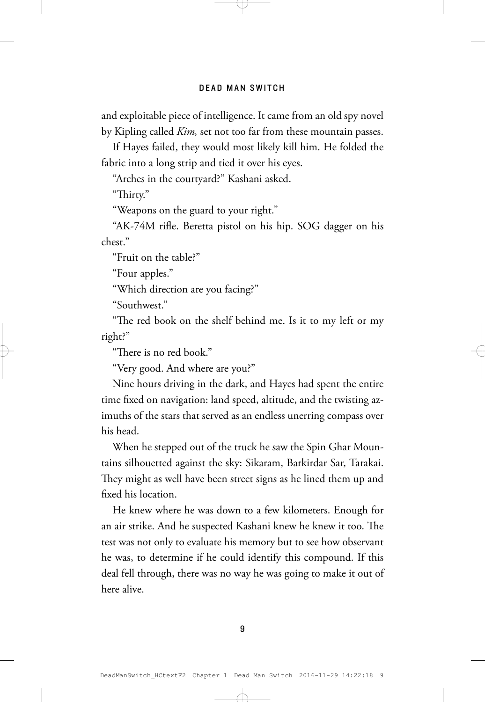and exploitable piece of intelligence. It came from an old spy novel by Kipling called *Kim,* set not too far from these mountain passes.

If Hayes failed, they would most likely kill him. He folded the fabric into a long strip and tied it over his eyes.

"Arches in the courtyard?" Kashani asked.

"Thirty."

"Weapons on the guard to your right."

"AK-74M rifle. Beretta pistol on his hip. SOG dagger on his chest."

"Fruit on the table?"

"Four apples."

"Which direction are you facing?"

"Southwest."

"The red book on the shelf behind me. Is it to my left or my right?"

"There is no red book."

"Very good. And where are you?"

Nine hours driving in the dark, and Hayes had spent the entire time fixed on navigation: land speed, altitude, and the twisting azimuths of the stars that served as an endless unerring compass over his head.

When he stepped out of the truck he saw the Spin Ghar Mountains silhouetted against the sky: Sikaram, Barkirdar Sar, Tarakai. They might as well have been street signs as he lined them up and fixed his location.

He knew where he was down to a few kilometers. Enough for an air strike. And he suspected Kashani knew he knew it too. The test was not only to evaluate his memory but to see how observant he was, to determine if he could identify this compound. If this deal fell through, there was no way he was going to make it out of here alive.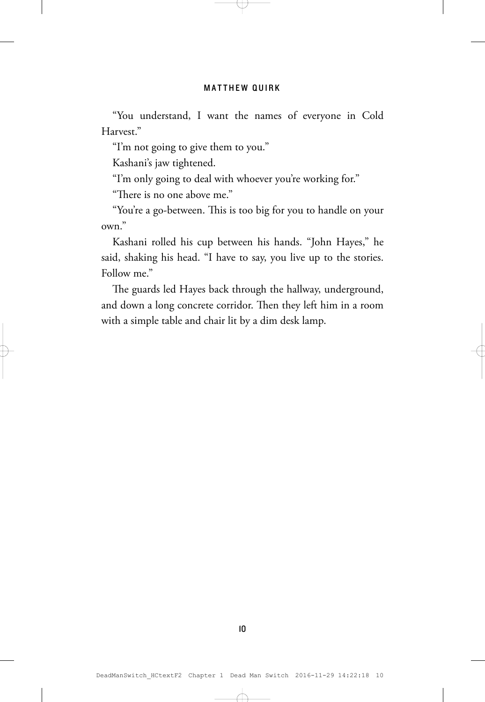"You understand, I want the names of everyone in Cold Harvest."

"I'm not going to give them to you."

Kashani's jaw tightened.

"I'm only going to deal with whoever you're working for."

"There is no one above me."

"You're a go-between. This is too big for you to handle on your own."

Kashani rolled his cup between his hands. "John Hayes," he said, shaking his head. "I have to say, you live up to the stories. Follow me."

The guards led Hayes back through the hallway, underground, and down a long concrete corridor. Then they left him in a room with a simple table and chair lit by a dim desk lamp.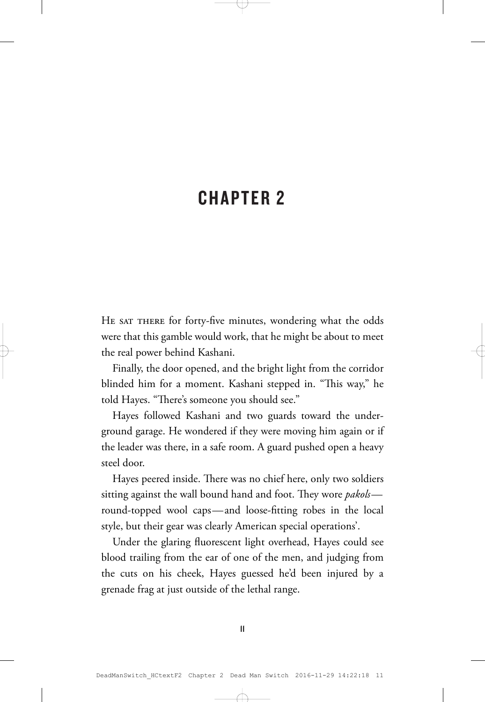# CHAPTER 2

HE SAT THERE for forty-five minutes, wondering what the odds were that this gamble would work, that he might be about to meet the real power behind Kashani.

Finally, the door opened, and the bright light from the corridor blinded him for a moment. Kashani stepped in. "This way," he told Hayes. "There's someone you should see."

Hayes followed Kashani and two guards toward the underground garage. He wondered if they were moving him again or if the leader was there, in a safe room. A guard pushed open a heavy steel door.

Hayes peered inside. There was no chief here, only two soldiers sitting against the wall bound hand and foot. They wore *pakols* round-topped wool caps—and loose-fitting robes in the local style, but their gear was clearly American special operations'.

Under the glaring fluorescent light overhead, Hayes could see blood trailing from the ear of one of the men, and judging from the cuts on his cheek, Hayes guessed he'd been injured by a grenade frag at just outside of the lethal range.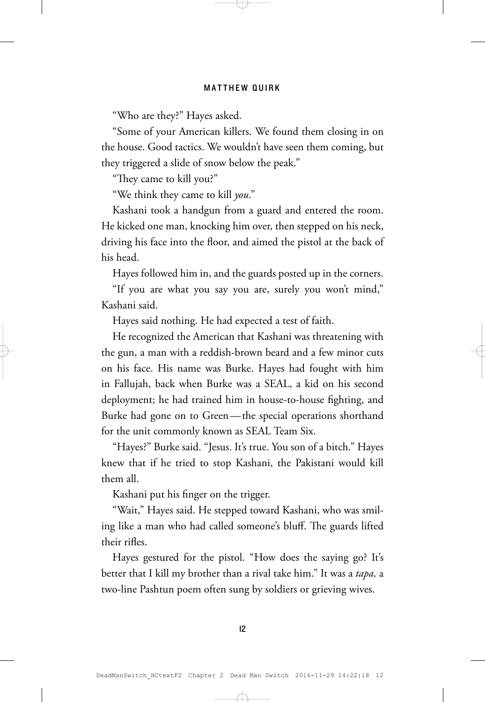"Who are they?" Hayes asked.

"Some of your American killers. We found them closing in on the house. Good tactics. We wouldn't have seen them coming, but they triggered a slide of snow below the peak."

"They came to kill you?"

"We think they came to kill *you*."

Kashani took a handgun from a guard and entered the room. He kicked one man, knocking him over, then stepped on his neck, driving his face into the floor, and aimed the pistol at the back of his head.

Hayes followed him in, and the guards posted up in the corners.

"If you are what you say you are, surely you won't mind," Kashani said.

Hayes said nothing. He had expected a test of faith.

He recognized the American that Kashani was threatening with the gun, a man with a reddish-brown beard and a few minor cuts on his face. His name was Burke. Hayes had fought with him in Fallujah, back when Burke was a SEAL, a kid on his second deployment; he had trained him in house-to-house fighting, and Burke had gone on to Green—the special operations shorthand for the unit commonly known as SEAL Team Six.

"Hayes?" Burke said. "Jesus. It's true. You son of a bitch." Hayes knew that if he tried to stop Kashani, the Pakistani would kill them all.

Kashani put his finger on the trigger.

"Wait," Hayes said. He stepped toward Kashani, who was smiling like a man who had called someone's bluff. The guards lifted their rifles.

Hayes gestured for the pistol. "How does the saying go? It's better that I kill my brother than a rival take him." It was a *tapa,* a two-line Pashtun poem often sung by soldiers or grieving wives.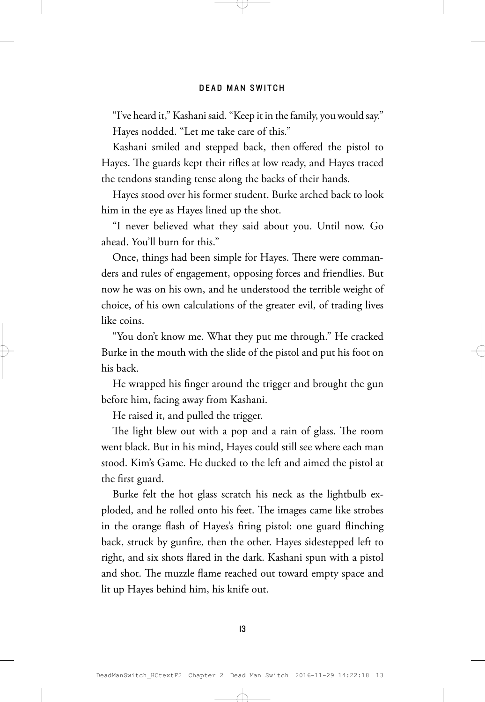"I've heard it," Kashani said. "Keep it in the family, you would say." Hayes nodded. "Let me take care of this."

Kashani smiled and stepped back, then offered the pistol to Hayes. The guards kept their rifles at low ready, and Hayes traced the tendons standing tense along the backs of their hands.

Hayes stood over his former student. Burke arched back to look him in the eye as Hayes lined up the shot.

"I never believed what they said about you. Until now. Go ahead. You'll burn for this."

Once, things had been simple for Hayes. There were commanders and rules of engagement, opposing forces and friendlies. But now he was on his own, and he understood the terrible weight of choice, of his own calculations of the greater evil, of trading lives like coins.

"You don't know me. What they put me through." He cracked Burke in the mouth with the slide of the pistol and put his foot on his back.

He wrapped his finger around the trigger and brought the gun before him, facing away from Kashani.

He raised it, and pulled the trigger.

The light blew out with a pop and a rain of glass. The room went black. But in his mind, Hayes could still see where each man stood. Kim's Game. He ducked to the left and aimed the pistol at the first guard.

Burke felt the hot glass scratch his neck as the lightbulb exploded, and he rolled onto his feet. The images came like strobes in the orange flash of Hayes's firing pistol: one guard flinching back, struck by gunfire, then the other. Hayes sidestepped left to right, and six shots flared in the dark. Kashani spun with a pistol and shot. The muzzle flame reached out toward empty space and lit up Hayes behind him, his knife out.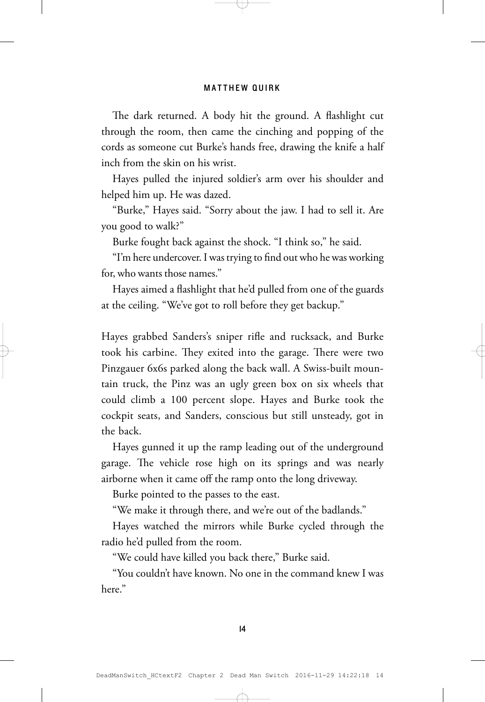The dark returned. A body hit the ground. A flashlight cut through the room, then came the cinching and popping of the cords as someone cut Burke's hands free, drawing the knife a half inch from the skin on his wrist.

Hayes pulled the injured soldier's arm over his shoulder and helped him up. He was dazed.

"Burke," Hayes said. "Sorry about the jaw. I had to sell it. Are you good to walk?"

Burke fought back against the shock. "I think so," he said.

"I'm here undercover. I was trying to find out who he was working for, who wants those names."

Hayes aimed a flashlight that he'd pulled from one of the guards at the ceiling. "We've got to roll before they get backup."

Hayes grabbed Sanders's sniper rifle and rucksack, and Burke took his carbine. They exited into the garage. There were two Pinzgauer 6x6s parked along the back wall. A Swiss-built mountain truck, the Pinz was an ugly green box on six wheels that could climb a 100 percent slope. Hayes and Burke took the cockpit seats, and Sanders, conscious but still unsteady, got in the back.

Hayes gunned it up the ramp leading out of the underground garage. The vehicle rose high on its springs and was nearly airborne when it came off the ramp onto the long driveway.

Burke pointed to the passes to the east.

"We make it through there, and we're out of the badlands."

Hayes watched the mirrors while Burke cycled through the radio he'd pulled from the room.

"We could have killed you back there," Burke said.

"You couldn't have known. No one in the command knew I was here."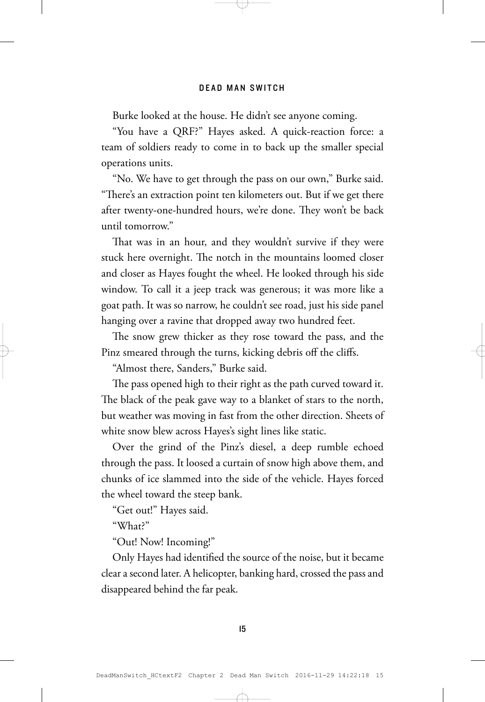Burke looked at the house. He didn't see anyone coming.

"You have a QRF?" Hayes asked. A quick-reaction force: a team of soldiers ready to come in to back up the smaller special operations units.

"No. We have to get through the pass on our own," Burke said. "There's an extraction point ten kilometers out. But if we get there after twenty-one-hundred hours, we're done. They won't be back until tomorrow."

That was in an hour, and they wouldn't survive if they were stuck here overnight. The notch in the mountains loomed closer and closer as Hayes fought the wheel. He looked through his side window. To call it a jeep track was generous; it was more like a goat path. It was so narrow, he couldn't see road, just his side panel hanging over a ravine that dropped away two hundred feet.

The snow grew thicker as they rose toward the pass, and the Pinz smeared through the turns, kicking debris off the cliffs.

"Almost there, Sanders," Burke said.

The pass opened high to their right as the path curved toward it. The black of the peak gave way to a blanket of stars to the north, but weather was moving in fast from the other direction. Sheets of white snow blew across Hayes's sight lines like static.

Over the grind of the Pinz's diesel, a deep rumble echoed through the pass. It loosed a curtain of snow high above them, and chunks of ice slammed into the side of the vehicle. Hayes forced the wheel toward the steep bank.

"Get out!" Hayes said.

"What?"

"Out! Now! Incoming!"

Only Hayes had identified the source of the noise, but it became clear a second later. A helicopter, banking hard, crossed the pass and disappeared behind the far peak.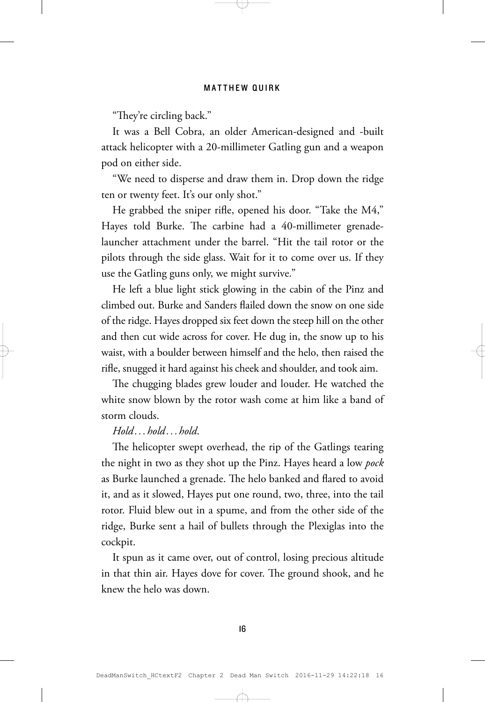"They're circling back."

It was a Bell Cobra, an older American-designed and -built attack helicopter with a 20-millimeter Gatling gun and a weapon pod on either side.

"We need to disperse and draw them in. Drop down the ridge ten or twenty feet. It's our only shot."

He grabbed the sniper rifle, opened his door. "Take the M4," Hayes told Burke. The carbine had a 40-millimeter grenadelauncher attachment under the barrel. "Hit the tail rotor or the pilots through the side glass. Wait for it to come over us. If they use the Gatling guns only, we might survive."

He left a blue light stick glowing in the cabin of the Pinz and climbed out. Burke and Sanders flailed down the snow on one side of the ridge. Hayes dropped six feet down the steep hill on the other and then cut wide across for cover. He dug in, the snow up to his waist, with a boulder between himself and the helo, then raised the rifle, snugged it hard against his cheek and shoulder, and took aim.

The chugging blades grew louder and louder. He watched the white snow blown by the rotor wash come at him like a band of storm clouds.

# *Hold . . . hold . . . hold*.

The helicopter swept overhead, the rip of the Gatlings tearing the night in two as they shot up the Pinz. Hayes heard a low *pock* as Burke launched a grenade. The helo banked and flared to avoid it, and as it slowed, Hayes put one round, two, three, into the tail rotor. Fluid blew out in a spume, and from the other side of the ridge, Burke sent a hail of bullets through the Plexiglas into the cockpit.

It spun as it came over, out of control, losing precious altitude in that thin air. Hayes dove for cover. The ground shook, and he knew the helo was down.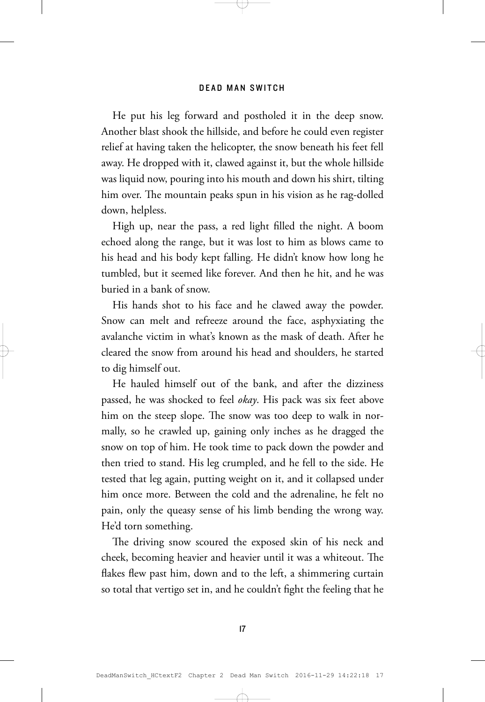He put his leg forward and postholed it in the deep snow. Another blast shook the hillside, and before he could even register relief at having taken the helicopter, the snow beneath his feet fell away. He dropped with it, clawed against it, but the whole hillside was liquid now, pouring into his mouth and down his shirt, tilting him over. The mountain peaks spun in his vision as he rag-dolled down, helpless.

High up, near the pass, a red light filled the night. A boom echoed along the range, but it was lost to him as blows came to his head and his body kept falling. He didn't know how long he tumbled, but it seemed like forever. And then he hit, and he was buried in a bank of snow.

His hands shot to his face and he clawed away the powder. Snow can melt and refreeze around the face, asphyxiating the avalanche victim in what's known as the mask of death. After he cleared the snow from around his head and shoulders, he started to dig himself out.

He hauled himself out of the bank, and after the dizziness passed, he was shocked to feel *okay*. His pack was six feet above him on the steep slope. The snow was too deep to walk in normally, so he crawled up, gaining only inches as he dragged the snow on top of him. He took time to pack down the powder and then tried to stand. His leg crumpled, and he fell to the side. He tested that leg again, putting weight on it, and it collapsed under him once more. Between the cold and the adrenaline, he felt no pain, only the queasy sense of his limb bending the wrong way. He'd torn something.

The driving snow scoured the exposed skin of his neck and cheek, becoming heavier and heavier until it was a whiteout. The flakes flew past him, down and to the left, a shimmering curtain so total that vertigo set in, and he couldn't fight the feeling that he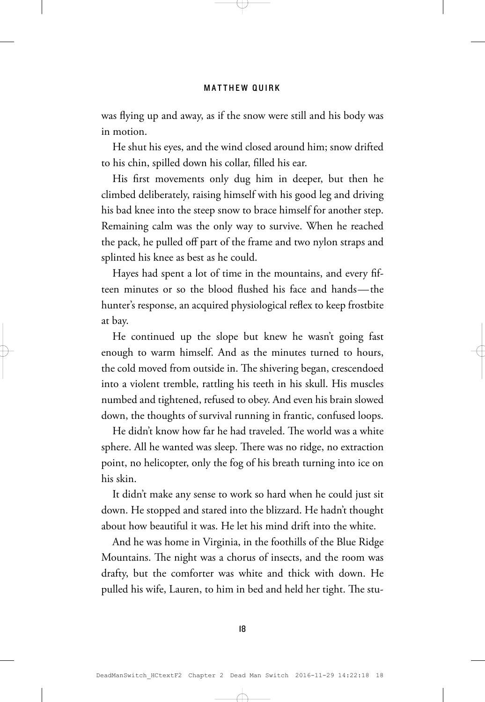was flying up and away, as if the snow were still and his body was in motion.

He shut his eyes, and the wind closed around him; snow drifted to his chin, spilled down his collar, filled his ear.

His first movements only dug him in deeper, but then he climbed deliberately, raising himself with his good leg and driving his bad knee into the steep snow to brace himself for another step. Remaining calm was the only way to survive. When he reached the pack, he pulled off part of the frame and two nylon straps and splinted his knee as best as he could.

Hayes had spent a lot of time in the mountains, and every fifteen minutes or so the blood flushed his face and hands—the hunter's response, an acquired physiological reflex to keep frostbite at bay.

He continued up the slope but knew he wasn't going fast enough to warm himself. And as the minutes turned to hours, the cold moved from outside in. The shivering began, crescendoed into a violent tremble, rattling his teeth in his skull. His muscles numbed and tightened, refused to obey. And even his brain slowed down, the thoughts of survival running in frantic, confused loops.

He didn't know how far he had traveled. The world was a white sphere. All he wanted was sleep. There was no ridge, no extraction point, no helicopter, only the fog of his breath turning into ice on his skin.

It didn't make any sense to work so hard when he could just sit down. He stopped and stared into the blizzard. He hadn't thought about how beautiful it was. He let his mind drift into the white.

And he was home in Virginia, in the foothills of the Blue Ridge Mountains. The night was a chorus of insects, and the room was drafty, but the comforter was white and thick with down. He pulled his wife, Lauren, to him in bed and held her tight. The stu-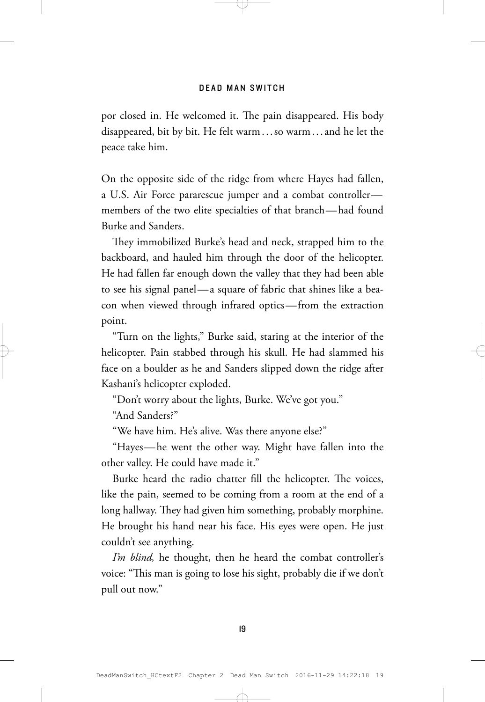por closed in. He welcomed it. The pain disappeared. His body disappeared, bit by bit. He felt warm . . . so warm . . . and he let the peace take him.

On the opposite side of the ridge from where Hayes had fallen, a U.S. Air Force pararescue jumper and a combat controller members of the two elite specialties of that branch—had found Burke and Sanders.

They immobilized Burke's head and neck, strapped him to the backboard, and hauled him through the door of the helicopter. He had fallen far enough down the valley that they had been able to see his signal panel—a square of fabric that shines like a beacon when viewed through infrared optics—from the extraction point.

"Turn on the lights," Burke said, staring at the interior of the helicopter. Pain stabbed through his skull. He had slammed his face on a boulder as he and Sanders slipped down the ridge after Kashani's helicopter exploded.

"Don't worry about the lights, Burke. We've got you."

"And Sanders?"

"We have him. He's alive. Was there anyone else?"

"Hayes—he went the other way. Might have fallen into the other valley. He could have made it."

Burke heard the radio chatter fill the helicopter. The voices, like the pain, seemed to be coming from a room at the end of a long hallway. They had given him something, probably morphine. He brought his hand near his face. His eyes were open. He just couldn't see anything.

*I'm blind,* he thought, then he heard the combat controller's voice: "This man is going to lose his sight, probably die if we don't pull out now."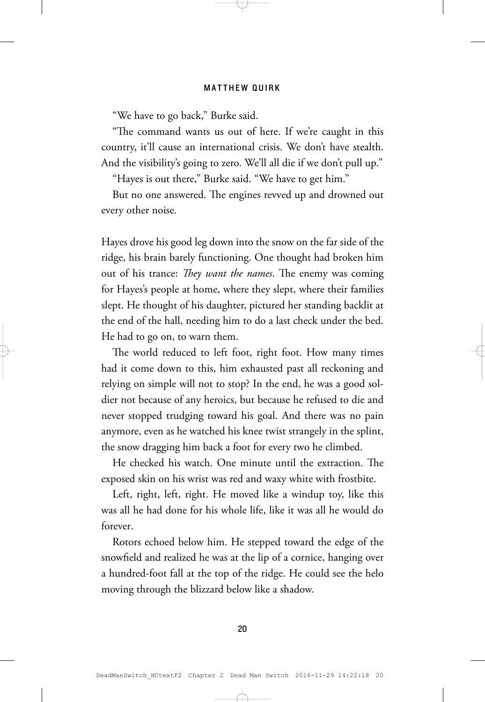"We have to go back," Burke said.

"The command wants us out of here. If we're caught in this country, it'll cause an international crisis. We don't have stealth. And the visibility's going to zero. We'll all die if we don't pull up."

"Hayes is out there," Burke said. "We have to get him."

But no one answered. The engines revved up and drowned out every other noise.

Hayes drove his good leg down into the snow on the far side of the ridge, his brain barely functioning. One thought had broken him out of his trance: *They want the names*. The enemy was coming for Hayes's people at home, where they slept, where their families slept. He thought of his daughter, pictured her standing backlit at the end of the hall, needing him to do a last check under the bed. He had to go on, to warn them.

The world reduced to left foot, right foot. How many times had it come down to this, him exhausted past all reckoning and relying on simple will not to stop? In the end, he was a good soldier not because of any heroics, but because he refused to die and never stopped trudging toward his goal. And there was no pain anymore, even as he watched his knee twist strangely in the splint, the snow dragging him back a foot for every two he climbed.

He checked his watch. One minute until the extraction. The exposed skin on his wrist was red and waxy white with frostbite.

Left, right, left, right. He moved like a windup toy, like this was all he had done for his whole life, like it was all he would do forever.

Rotors echoed below him. He stepped toward the edge of the snowfield and realized he was at the lip of a cornice, hanging over a hundred-foot fall at the top of the ridge. He could see the helo moving through the blizzard below like a shadow.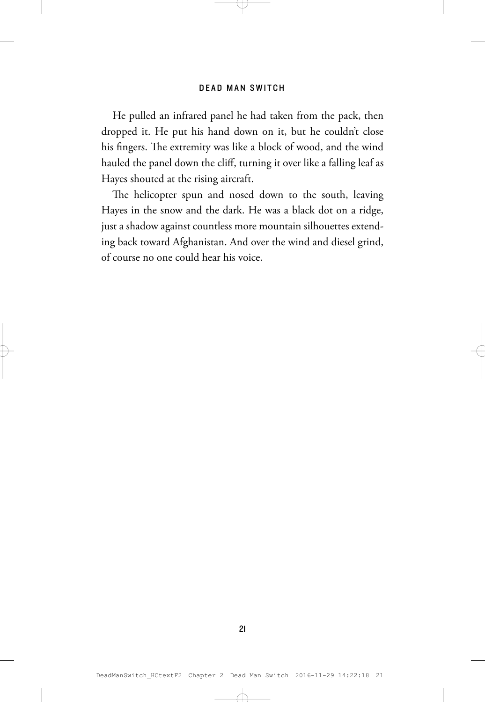He pulled an infrared panel he had taken from the pack, then dropped it. He put his hand down on it, but he couldn't close his fingers. The extremity was like a block of wood, and the wind hauled the panel down the cliff, turning it over like a falling leaf as Hayes shouted at the rising aircraft.

The helicopter spun and nosed down to the south, leaving Hayes in the snow and the dark. He was a black dot on a ridge, just a shadow against countless more mountain silhouettes extending back toward Afghanistan. And over the wind and diesel grind, of course no one could hear his voice.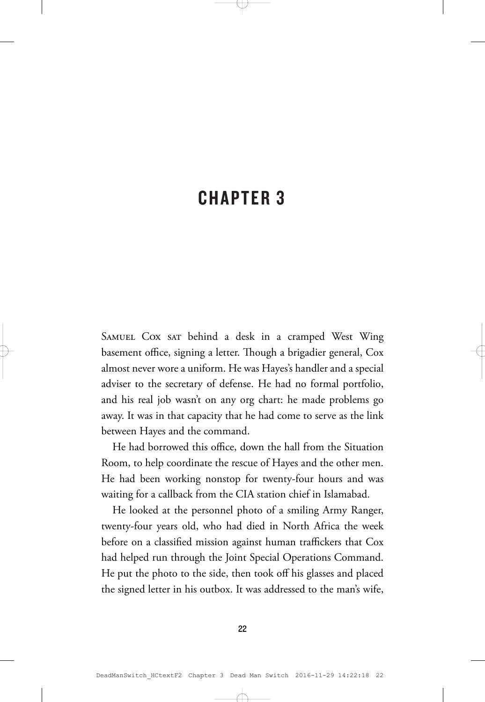# CHAPTER 3

SAMUEL COX SAT behind a desk in a cramped West Wing basement office, signing a letter. Though a brigadier general, Cox almost never wore a uniform. He was Hayes's handler and a special adviser to the secretary of defense. He had no formal portfolio, and his real job wasn't on any org chart: he made problems go away. It was in that capacity that he had come to serve as the link between Hayes and the command.

He had borrowed this office, down the hall from the Situation Room, to help coordinate the rescue of Hayes and the other men. He had been working nonstop for twenty-four hours and was waiting for a callback from the CIA station chief in Islamabad.

He looked at the personnel photo of a smiling Army Ranger, twenty-four years old, who had died in North Africa the week before on a classified mission against human traffickers that Cox had helped run through the Joint Special Operations Command. He put the photo to the side, then took off his glasses and placed the signed letter in his outbox. It was addressed to the man's wife,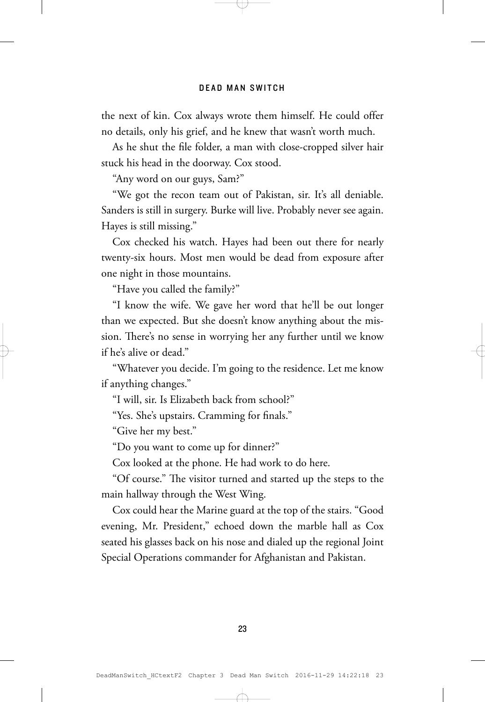the next of kin. Cox always wrote them himself. He could offer no details, only his grief, and he knew that wasn't worth much.

As he shut the file folder, a man with close-cropped silver hair stuck his head in the doorway. Cox stood.

"Any word on our guys, Sam?"

"We got the recon team out of Pakistan, sir. It's all deniable. Sanders is still in surgery. Burke will live. Probably never see again. Hayes is still missing."

Cox checked his watch. Hayes had been out there for nearly twenty-six hours. Most men would be dead from exposure after one night in those mountains.

"Have you called the family?"

"I know the wife. We gave her word that he'll be out longer than we expected. But she doesn't know anything about the mission. There's no sense in worrying her any further until we know if he's alive or dead."

"Whatever you decide. I'm going to the residence. Let me know if anything changes."

"I will, sir. Is Elizabeth back from school?"

"Yes. She's upstairs. Cramming for finals."

"Give her my best."

"Do you want to come up for dinner?"

Cox looked at the phone. He had work to do here.

"Of course." The visitor turned and started up the steps to the main hallway through the West Wing.

Cox could hear the Marine guard at the top of the stairs. "Good evening, Mr. President," echoed down the marble hall as Cox seated his glasses back on his nose and dialed up the regional Joint Special Operations commander for Afghanistan and Pakistan.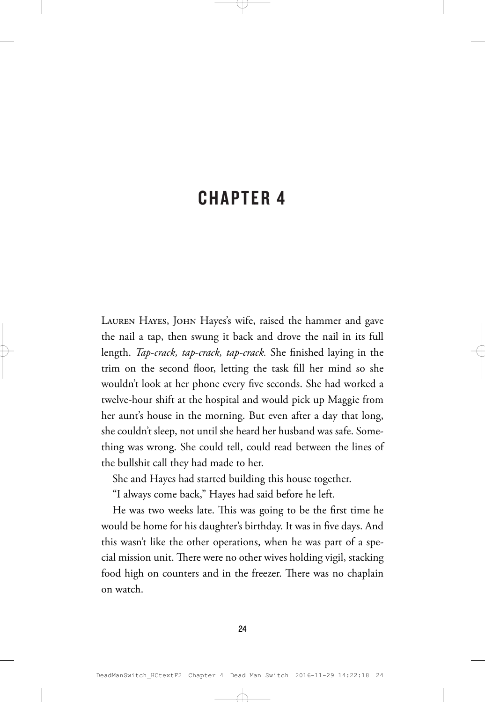# CHAPTER 4

Lauren Hayes, John Hayes's wife, raised the hammer and gave the nail a tap, then swung it back and drove the nail in its full length. *Tap-crack, tap-crack, tap-crack.* She finished laying in the trim on the second floor, letting the task fill her mind so she wouldn't look at her phone every five seconds. She had worked a twelve-hour shift at the hospital and would pick up Maggie from her aunt's house in the morning. But even after a day that long, she couldn't sleep, not until she heard her husband was safe. Something was wrong. She could tell, could read between the lines of the bullshit call they had made to her.

She and Hayes had started building this house together.

"I always come back," Hayes had said before he left.

He was two weeks late. This was going to be the first time he would be home for his daughter's birthday. It was in five days. And this wasn't like the other operations, when he was part of a special mission unit. There were no other wives holding vigil, stacking food high on counters and in the freezer. There was no chaplain on watch.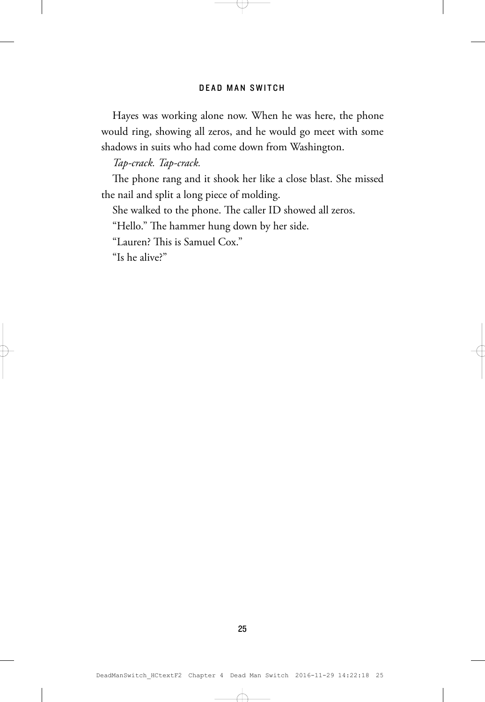Hayes was working alone now. When he was here, the phone would ring, showing all zeros, and he would go meet with some shadows in suits who had come down from Washington.

*Tap-crack. Tap-crack.*

The phone rang and it shook her like a close blast. She missed the nail and split a long piece of molding.

She walked to the phone. The caller ID showed all zeros.

"Hello." The hammer hung down by her side.

"Lauren? This is Samuel Cox."

"Is he alive?"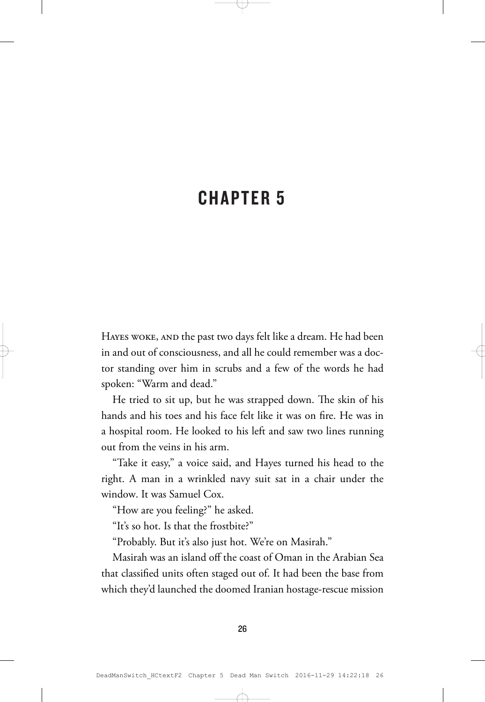# CHAPTER 5

HAYES WOKE, AND the past two days felt like a dream. He had been in and out of consciousness, and all he could remember was a doctor standing over him in scrubs and a few of the words he had spoken: "Warm and dead."

He tried to sit up, but he was strapped down. The skin of his hands and his toes and his face felt like it was on fire. He was in a hospital room. He looked to his left and saw two lines running out from the veins in his arm.

"Take it easy," a voice said, and Hayes turned his head to the right. A man in a wrinkled navy suit sat in a chair under the window. It was Samuel Cox.

"How are you feeling?" he asked.

"It's so hot. Is that the frostbite?"

"Probably. But it's also just hot. We're on Masirah."

Masirah was an island off the coast of Oman in the Arabian Sea that classified units often staged out of. It had been the base from which they'd launched the doomed Iranian hostage-rescue mission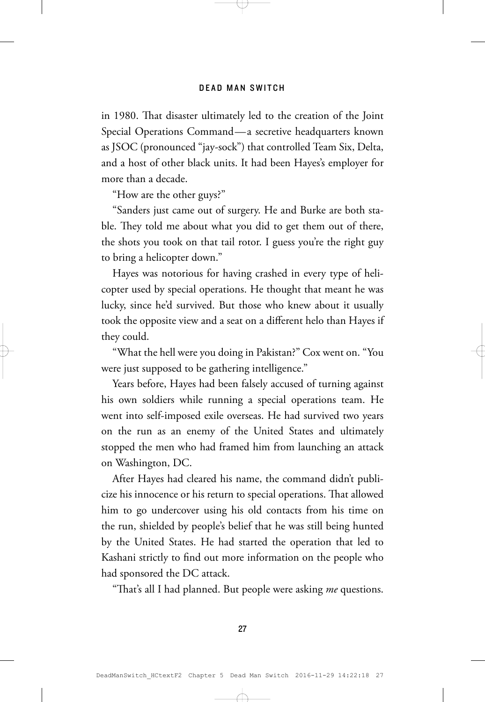in 1980. That disaster ultimately led to the creation of the Joint Special Operations Command—a secretive headquarters known as JSOC (pronounced "jay-sock") that controlled Team Six, Delta, and a host of other black units. It had been Hayes's employer for more than a decade.

"How are the other guys?"

"Sanders just came out of surgery. He and Burke are both stable. They told me about what you did to get them out of there, the shots you took on that tail rotor. I guess you're the right guy to bring a helicopter down."

Hayes was notorious for having crashed in every type of helicopter used by special operations. He thought that meant he was lucky, since he'd survived. But those who knew about it usually took the opposite view and a seat on a different helo than Hayes if they could.

"What the hell were you doing in Pakistan?" Cox went on. "You were just supposed to be gathering intelligence."

Years before, Hayes had been falsely accused of turning against his own soldiers while running a special operations team. He went into self-imposed exile overseas. He had survived two years on the run as an enemy of the United States and ultimately stopped the men who had framed him from launching an attack on Washington, DC.

After Hayes had cleared his name, the command didn't publicize his innocence or his return to special operations. That allowed him to go undercover using his old contacts from his time on the run, shielded by people's belief that he was still being hunted by the United States. He had started the operation that led to Kashani strictly to find out more information on the people who had sponsored the DC attack.

"That's all I had planned. But people were asking *me* questions.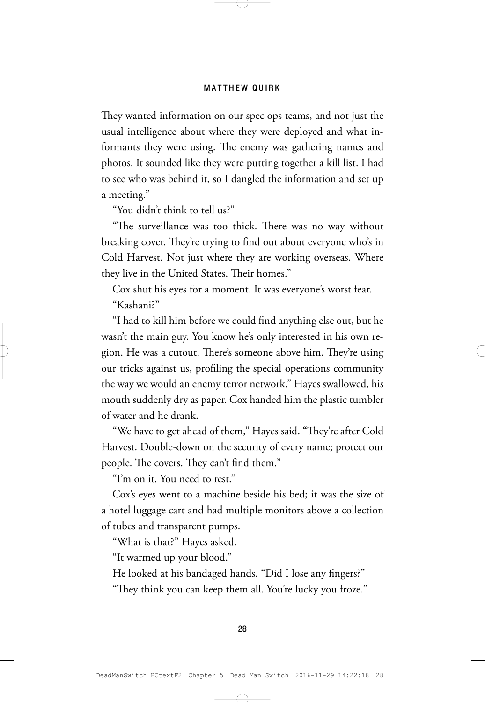They wanted information on our spec ops teams, and not just the usual intelligence about where they were deployed and what informants they were using. The enemy was gathering names and photos. It sounded like they were putting together a kill list. I had to see who was behind it, so I dangled the information and set up a meeting."

"You didn't think to tell us?"

"The surveillance was too thick. There was no way without breaking cover. They're trying to find out about everyone who's in Cold Harvest. Not just where they are working overseas. Where they live in the United States. Their homes."

Cox shut his eyes for a moment. It was everyone's worst fear. "Kashani?"

"I had to kill him before we could find anything else out, but he wasn't the main guy. You know he's only interested in his own region. He was a cutout. There's someone above him. They're using our tricks against us, profiling the special operations community the way we would an enemy terror network." Hayes swallowed, his mouth suddenly dry as paper. Cox handed him the plastic tumbler of water and he drank.

"We have to get ahead of them," Hayes said. "They're after Cold Harvest. Double-down on the security of every name; protect our people. The covers. They can't find them."

"I'm on it. You need to rest."

Cox's eyes went to a machine beside his bed; it was the size of a hotel luggage cart and had multiple monitors above a collection of tubes and transparent pumps.

"What is that?" Hayes asked.

"It warmed up your blood."

He looked at his bandaged hands. "Did I lose any fingers?"

"They think you can keep them all. You're lucky you froze."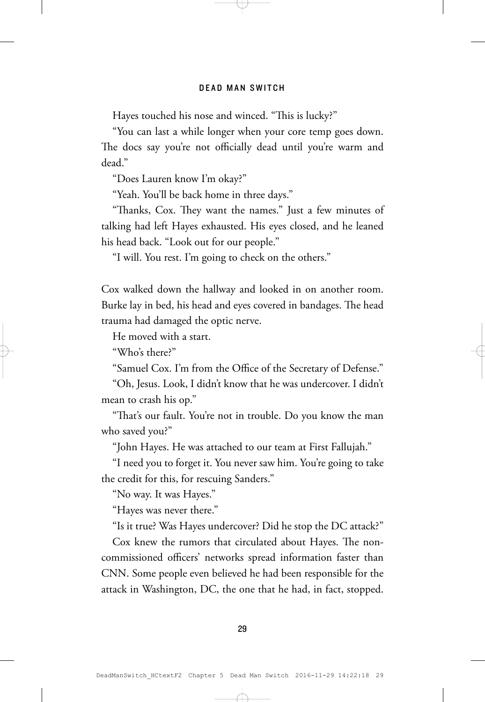Hayes touched his nose and winced. "This is lucky?"

"You can last a while longer when your core temp goes down. The docs say you're not officially dead until you're warm and dead."

"Does Lauren know I'm okay?"

"Yeah. You'll be back home in three days."

"Thanks, Cox. They want the names." Just a few minutes of talking had left Hayes exhausted. His eyes closed, and he leaned his head back. "Look out for our people."

"I will. You rest. I'm going to check on the others."

Cox walked down the hallway and looked in on another room. Burke lay in bed, his head and eyes covered in bandages. The head trauma had damaged the optic nerve.

He moved with a start.

"Who's there?"

"Samuel Cox. I'm from the Office of the Secretary of Defense."

"Oh, Jesus. Look, I didn't know that he was undercover. I didn't mean to crash his op."

"That's our fault. You're not in trouble. Do you know the man who saved you?"

"John Hayes. He was attached to our team at First Fallujah."

"I need you to forget it. You never saw him. You're going to take the credit for this, for rescuing Sanders."

"No way. It was Hayes."

"Hayes was never there."

"Is it true? Was Hayes undercover? Did he stop the DC attack?"

Cox knew the rumors that circulated about Hayes. The noncommissioned officers' networks spread information faster than CNN. Some people even believed he had been responsible for the attack in Washington, DC, the one that he had, in fact, stopped.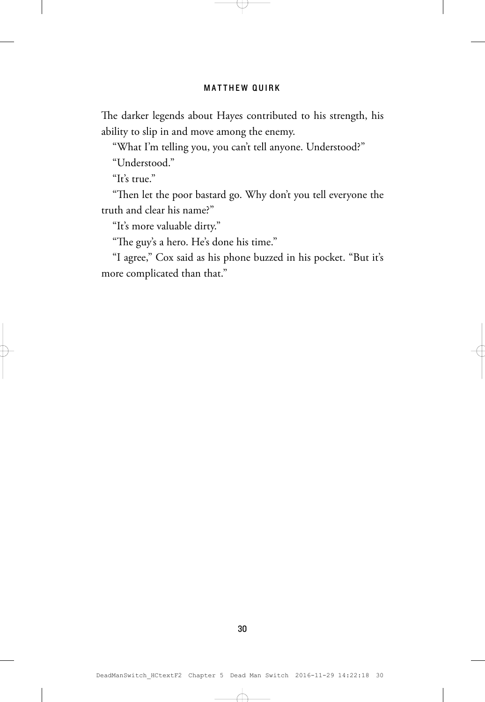The darker legends about Hayes contributed to his strength, his ability to slip in and move among the enemy.

"What I'm telling you, you can't tell anyone. Understood?"

"Understood."

"It's true."

"Then let the poor bastard go. Why don't you tell everyone the truth and clear his name?"

"It's more valuable dirty."

"The guy's a hero. He's done his time."

"I agree," Cox said as his phone buzzed in his pocket. "But it's more complicated than that."

क़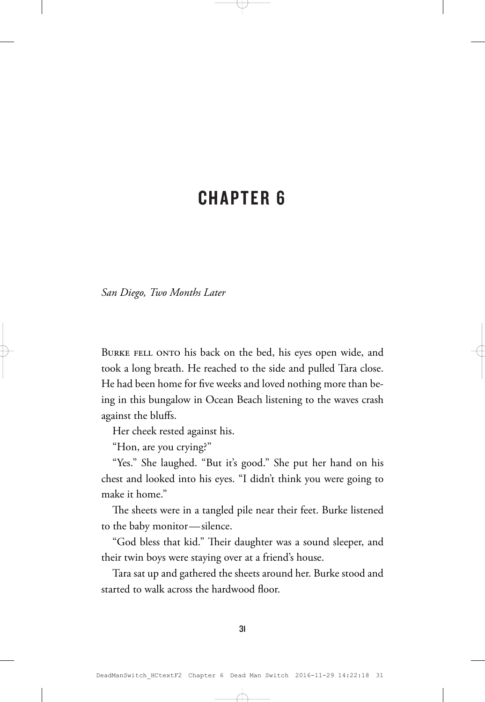# CHAPTER 6

*San Diego, Two Months Later*

BURKE FELL ONTO his back on the bed, his eyes open wide, and took a long breath. He reached to the side and pulled Tara close. He had been home for five weeks and loved nothing more than being in this bungalow in Ocean Beach listening to the waves crash against the bluffs.

Her cheek rested against his.

"Hon, are you crying?"

"Yes." She laughed. "But it's good." She put her hand on his chest and looked into his eyes. "I didn't think you were going to make it home."

The sheets were in a tangled pile near their feet. Burke listened to the baby monitor—silence.

"God bless that kid." Their daughter was a sound sleeper, and their twin boys were staying over at a friend's house.

Tara sat up and gathered the sheets around her. Burke stood and started to walk across the hardwood floor.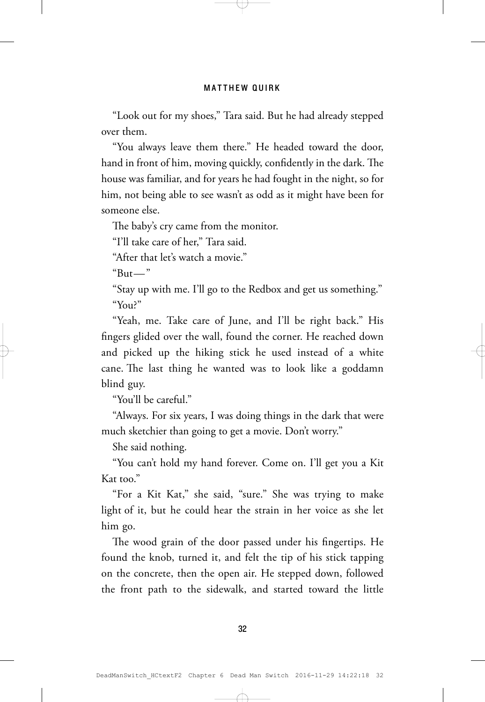"Look out for my shoes," Tara said. But he had already stepped over them.

"You always leave them there." He headed toward the door, hand in front of him, moving quickly, confidently in the dark. The house was familiar, and for years he had fought in the night, so for him, not being able to see wasn't as odd as it might have been for someone else.

The baby's cry came from the monitor.

"I'll take care of her," Tara said.

"After that let's watch a movie."

 $"But -"$ 

"Stay up with me. I'll go to the Redbox and get us something." "You?"

"Yeah, me. Take care of June, and I'll be right back." His fingers glided over the wall, found the corner. He reached down and picked up the hiking stick he used instead of a white cane. The last thing he wanted was to look like a goddamn blind guy.

"You'll be careful."

"Always. For six years, I was doing things in the dark that were much sketchier than going to get a movie. Don't worry."

She said nothing.

"You can't hold my hand forever. Come on. I'll get you a Kit Kat too."

"For a Kit Kat," she said, "sure." She was trying to make light of it, but he could hear the strain in her voice as she let him go.

The wood grain of the door passed under his fingertips. He found the knob, turned it, and felt the tip of his stick tapping on the concrete, then the open air. He stepped down, followed the front path to the sidewalk, and started toward the little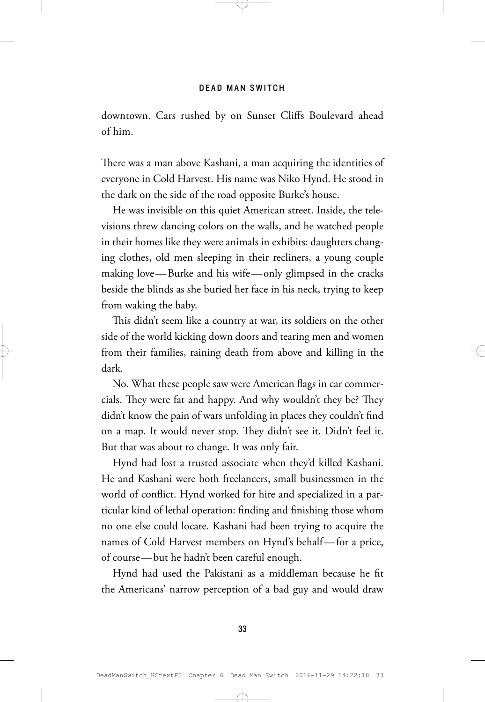downtown. Cars rushed by on Sunset Cliffs Boulevard ahead of him.

There was a man above Kashani, a man acquiring the identities of everyone in Cold Harvest. His name was Niko Hynd. He stood in the dark on the side of the road opposite Burke's house.

He was invisible on this quiet American street. Inside, the televisions threw dancing colors on the walls, and he watched people in their homes like they were animals in exhibits: daughters changing clothes, old men sleeping in their recliners, a young couple making love—Burke and his wife—only glimpsed in the cracks beside the blinds as she buried her face in his neck, trying to keep from waking the baby.

This didn't seem like a country at war, its soldiers on the other side of the world kicking down doors and tearing men and women from their families, raining death from above and killing in the dark.

No. What these people saw were American flags in car commercials. They were fat and happy. And why wouldn't they be? They didn't know the pain of wars unfolding in places they couldn't find on a map. It would never stop. They didn't see it. Didn't feel it. But that was about to change. It was only fair.

Hynd had lost a trusted associate when they'd killed Kashani. He and Kashani were both freelancers, small businessmen in the world of conflict. Hynd worked for hire and specialized in a particular kind of lethal operation: finding and finishing those whom no one else could locate. Kashani had been trying to acquire the names of Cold Harvest members on Hynd's behalf—for a price, of course—but he hadn't been careful enough.

Hynd had used the Pakistani as a middleman because he fit the Americans' narrow perception of a bad guy and would draw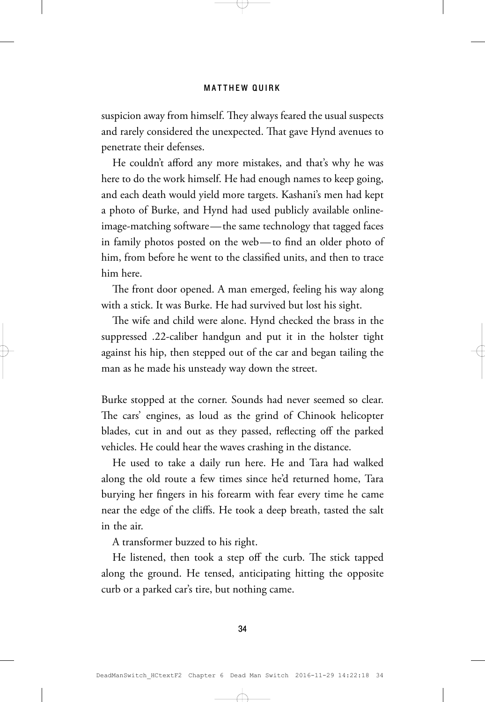suspicion away from himself. They always feared the usual suspects and rarely considered the unexpected. That gave Hynd avenues to penetrate their defenses.

He couldn't afford any more mistakes, and that's why he was here to do the work himself. He had enough names to keep going, and each death would yield more targets. Kashani's men had kept a photo of Burke, and Hynd had used publicly available onlineimage-matching software—the same technology that tagged faces in family photos posted on the web—to find an older photo of him, from before he went to the classified units, and then to trace him here.

The front door opened. A man emerged, feeling his way along with a stick. It was Burke. He had survived but lost his sight.

The wife and child were alone. Hynd checked the brass in the suppressed .22-caliber handgun and put it in the holster tight against his hip, then stepped out of the car and began tailing the man as he made his unsteady way down the street.

Burke stopped at the corner. Sounds had never seemed so clear. The cars' engines, as loud as the grind of Chinook helicopter blades, cut in and out as they passed, reflecting off the parked vehicles. He could hear the waves crashing in the distance.

He used to take a daily run here. He and Tara had walked along the old route a few times since he'd returned home, Tara burying her fingers in his forearm with fear every time he came near the edge of the cliffs. He took a deep breath, tasted the salt in the air.

A transformer buzzed to his right.

He listened, then took a step off the curb. The stick tapped along the ground. He tensed, anticipating hitting the opposite curb or a parked car's tire, but nothing came.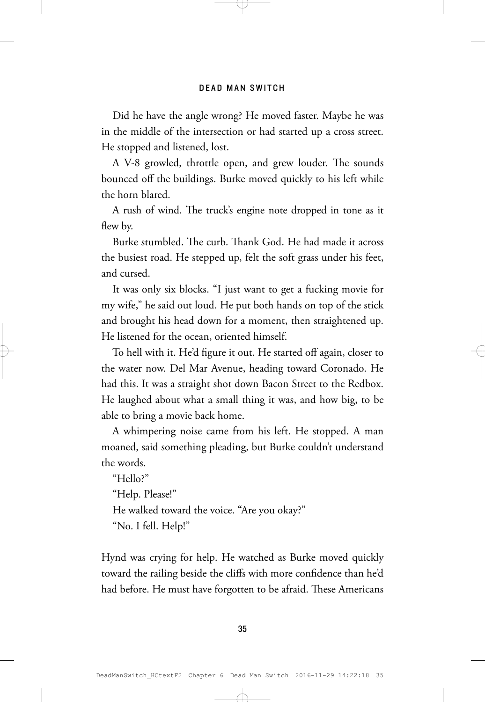Did he have the angle wrong? He moved faster. Maybe he was in the middle of the intersection or had started up a cross street. He stopped and listened, lost.

A V-8 growled, throttle open, and grew louder. The sounds bounced off the buildings. Burke moved quickly to his left while the horn blared.

A rush of wind. The truck's engine note dropped in tone as it flew by.

Burke stumbled. The curb. Thank God. He had made it across the busiest road. He stepped up, felt the soft grass under his feet, and cursed.

It was only six blocks. "I just want to get a fucking movie for my wife," he said out loud. He put both hands on top of the stick and brought his head down for a moment, then straightened up. He listened for the ocean, oriented himself.

To hell with it. He'd figure it out. He started off again, closer to the water now. Del Mar Avenue, heading toward Coronado. He had this. It was a straight shot down Bacon Street to the Redbox. He laughed about what a small thing it was, and how big, to be able to bring a movie back home.

A whimpering noise came from his left. He stopped. A man moaned, said something pleading, but Burke couldn't understand the words.

"Hello?"

"Help. Please!"

He walked toward the voice. "Are you okay?" "No. I fell. Help!"

Hynd was crying for help. He watched as Burke moved quickly toward the railing beside the cliffs with more confidence than he'd had before. He must have forgotten to be afraid. These Americans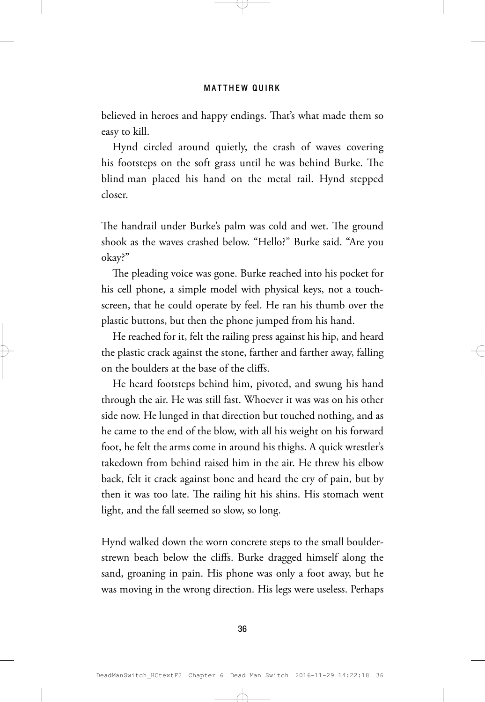believed in heroes and happy endings. That's what made them so easy to kill.

Hynd circled around quietly, the crash of waves covering his footsteps on the soft grass until he was behind Burke. The blind man placed his hand on the metal rail. Hynd stepped closer.

The handrail under Burke's palm was cold and wet. The ground shook as the waves crashed below. "Hello?" Burke said. "Are you okay?"

The pleading voice was gone. Burke reached into his pocket for his cell phone, a simple model with physical keys, not a touchscreen, that he could operate by feel. He ran his thumb over the plastic buttons, but then the phone jumped from his hand.

He reached for it, felt the railing press against his hip, and heard the plastic crack against the stone, farther and farther away, falling on the boulders at the base of the cliffs.

He heard footsteps behind him, pivoted, and swung his hand through the air. He was still fast. Whoever it was was on his other side now. He lunged in that direction but touched nothing, and as he came to the end of the blow, with all his weight on his forward foot, he felt the arms come in around his thighs. A quick wrestler's takedown from behind raised him in the air. He threw his elbow back, felt it crack against bone and heard the cry of pain, but by then it was too late. The railing hit his shins. His stomach went light, and the fall seemed so slow, so long.

Hynd walked down the worn concrete steps to the small boulderstrewn beach below the cliffs. Burke dragged himself along the sand, groaning in pain. His phone was only a foot away, but he was moving in the wrong direction. His legs were useless. Perhaps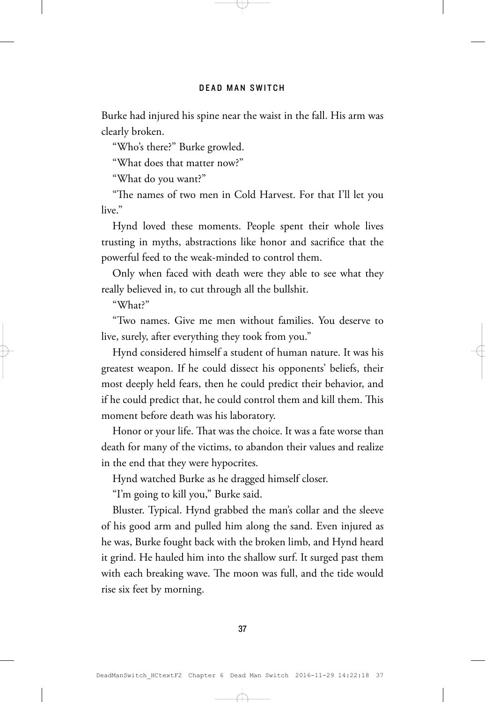Burke had injured his spine near the waist in the fall. His arm was clearly broken.

"Who's there?" Burke growled.

"What does that matter now?"

"What do you want?"

"The names of two men in Cold Harvest. For that I'll let you live."

Hynd loved these moments. People spent their whole lives trusting in myths, abstractions like honor and sacrifice that the powerful feed to the weak-minded to control them.

Only when faced with death were they able to see what they really believed in, to cut through all the bullshit.

"What?"

"Two names. Give me men without families. You deserve to live, surely, after everything they took from you."

Hynd considered himself a student of human nature. It was his greatest weapon. If he could dissect his opponents' beliefs, their most deeply held fears, then he could predict their behavior, and if he could predict that, he could control them and kill them. This moment before death was his laboratory.

Honor or your life. That was the choice. It was a fate worse than death for many of the victims, to abandon their values and realize in the end that they were hypocrites.

Hynd watched Burke as he dragged himself closer.

"I'm going to kill you," Burke said.

Bluster. Typical. Hynd grabbed the man's collar and the sleeve of his good arm and pulled him along the sand. Even injured as he was, Burke fought back with the broken limb, and Hynd heard it grind. He hauled him into the shallow surf. It surged past them with each breaking wave. The moon was full, and the tide would rise six feet by morning.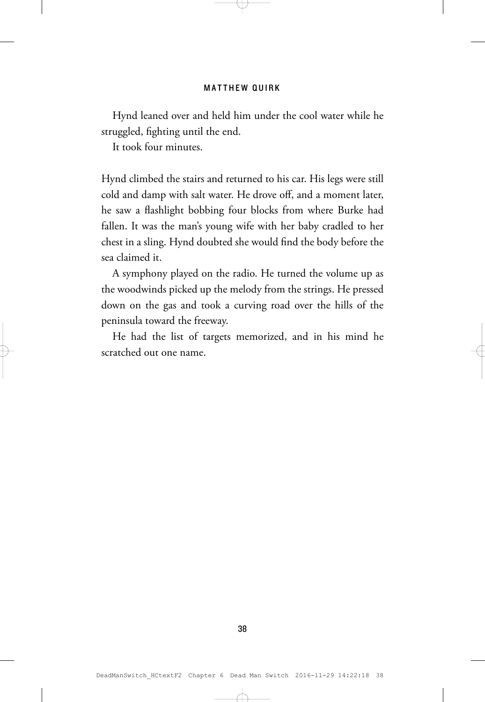Hynd leaned over and held him under the cool water while he struggled, fighting until the end.

It took four minutes.

Hynd climbed the stairs and returned to his car. His legs were still cold and damp with salt water. He drove off, and a moment later, he saw a flashlight bobbing four blocks from where Burke had fallen. It was the man's young wife with her baby cradled to her chest in a sling. Hynd doubted she would find the body before the sea claimed it.

A symphony played on the radio. He turned the volume up as the woodwinds picked up the melody from the strings. He pressed down on the gas and took a curving road over the hills of the peninsula toward the freeway.

He had the list of targets memorized, and in his mind he scratched out one name.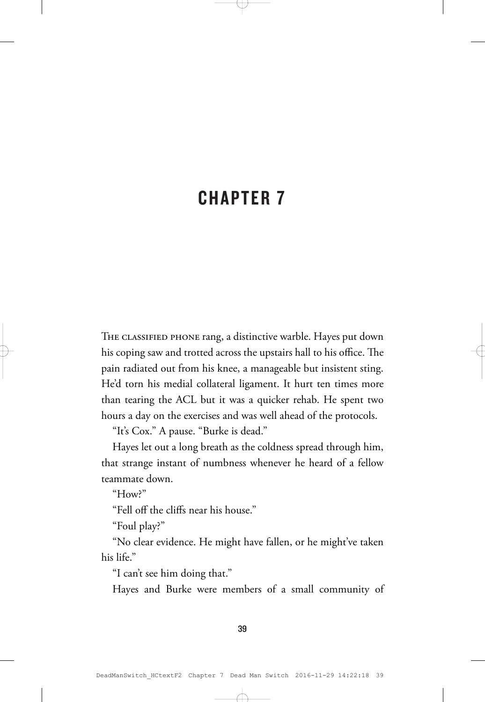# CHAPTER 7

THE CLASSIFIED PHONE rang, a distinctive warble. Hayes put down his coping saw and trotted across the upstairs hall to his office. The pain radiated out from his knee, a manageable but insistent sting. He'd torn his medial collateral ligament. It hurt ten times more than tearing the ACL but it was a quicker rehab. He spent two hours a day on the exercises and was well ahead of the protocols.

"It's Cox." A pause. "Burke is dead."

Hayes let out a long breath as the coldness spread through him, that strange instant of numbness whenever he heard of a fellow teammate down.

"How?"

"Fell off the cliffs near his house."

"Foul play?"

"No clear evidence. He might have fallen, or he might've taken his life."

"I can't see him doing that."

Hayes and Burke were members of a small community of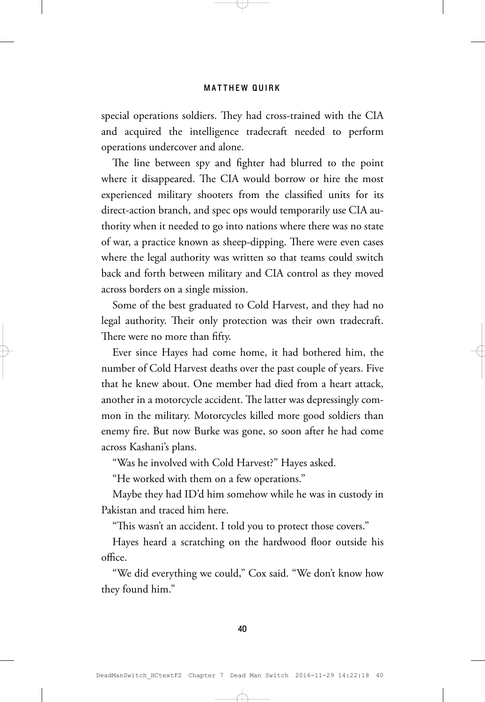special operations soldiers. They had cross-trained with the CIA and acquired the intelligence tradecraft needed to perform operations undercover and alone.

The line between spy and fighter had blurred to the point where it disappeared. The CIA would borrow or hire the most experienced military shooters from the classified units for its direct-action branch, and spec ops would temporarily use CIA authority when it needed to go into nations where there was no state of war, a practice known as sheep-dipping. There were even cases where the legal authority was written so that teams could switch back and forth between military and CIA control as they moved across borders on a single mission.

Some of the best graduated to Cold Harvest, and they had no legal authority. Their only protection was their own tradecraft. There were no more than fifty.

Ever since Hayes had come home, it had bothered him, the number of Cold Harvest deaths over the past couple of years. Five that he knew about. One member had died from a heart attack, another in a motorcycle accident. The latter was depressingly common in the military. Motorcycles killed more good soldiers than enemy fire. But now Burke was gone, so soon after he had come across Kashani's plans.

"Was he involved with Cold Harvest?" Hayes asked.

"He worked with them on a few operations."

Maybe they had ID'd him somehow while he was in custody in Pakistan and traced him here.

"This wasn't an accident. I told you to protect those covers."

Hayes heard a scratching on the hardwood floor outside his office.

"We did everything we could," Cox said. "We don't know how they found him."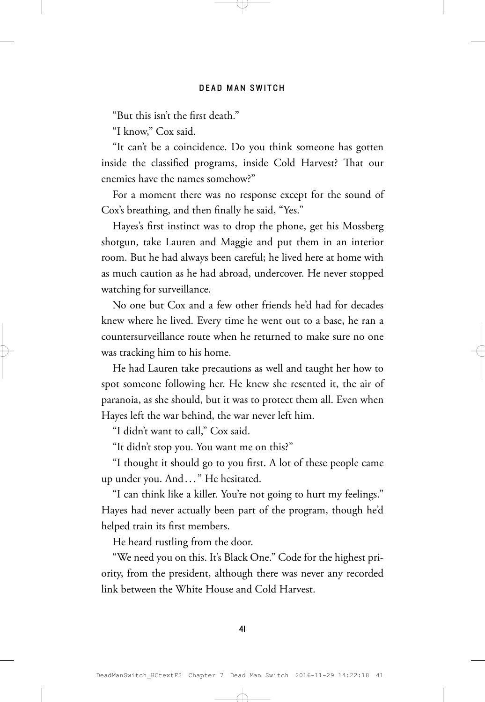"But this isn't the first death."

"I know," Cox said.

"It can't be a coincidence. Do you think someone has gotten inside the classified programs, inside Cold Harvest? That our enemies have the names somehow?"

For a moment there was no response except for the sound of Cox's breathing, and then finally he said, "Yes."

Hayes's first instinct was to drop the phone, get his Mossberg shotgun, take Lauren and Maggie and put them in an interior room. But he had always been careful; he lived here at home with as much caution as he had abroad, undercover. He never stopped watching for surveillance.

No one but Cox and a few other friends he'd had for decades knew where he lived. Every time he went out to a base, he ran a countersurveillance route when he returned to make sure no one was tracking him to his home.

He had Lauren take precautions as well and taught her how to spot someone following her. He knew she resented it, the air of paranoia, as she should, but it was to protect them all. Even when Hayes left the war behind, the war never left him.

"I didn't want to call," Cox said.

"It didn't stop you. You want me on this?"

"I thought it should go to you first. A lot of these people came up under you. And ..." He hesitated.

"I can think like a killer. You're not going to hurt my feelings." Hayes had never actually been part of the program, though he'd helped train its first members.

He heard rustling from the door.

"We need you on this. It's Black One." Code for the highest priority, from the president, although there was never any recorded link between the White House and Cold Harvest.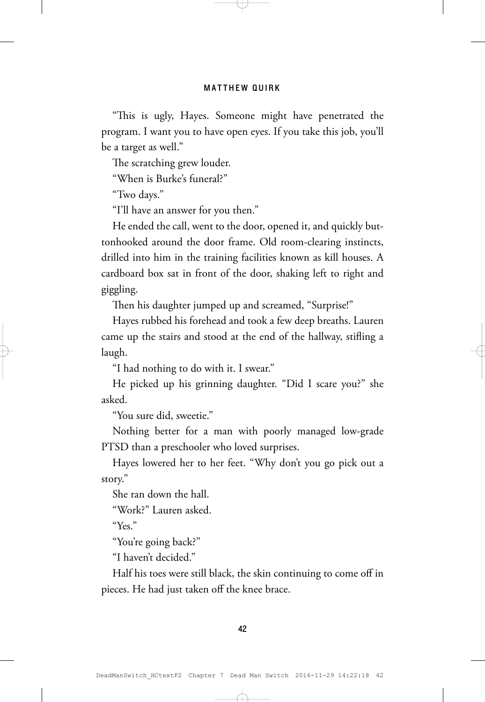"This is ugly, Hayes. Someone might have penetrated the program. I want you to have open eyes. If you take this job, you'll be a target as well."

The scratching grew louder.

"When is Burke's funeral?"

"Two days."

"I'll have an answer for you then."

He ended the call, went to the door, opened it, and quickly buttonhooked around the door frame. Old room-clearing instincts, drilled into him in the training facilities known as kill houses. A cardboard box sat in front of the door, shaking left to right and giggling.

Then his daughter jumped up and screamed, "Surprise!"

Hayes rubbed his forehead and took a few deep breaths. Lauren came up the stairs and stood at the end of the hallway, stifling a laugh.

"I had nothing to do with it. I swear."

He picked up his grinning daughter. "Did I scare you?" she asked.

"You sure did, sweetie."

Nothing better for a man with poorly managed low-grade PTSD than a preschooler who loved surprises.

Hayes lowered her to her feet. "Why don't you go pick out a story."

She ran down the hall.

"Work?" Lauren asked.

"Yes."

"You're going back?"

"I haven't decided."

Half his toes were still black, the skin continuing to come off in pieces. He had just taken off the knee brace.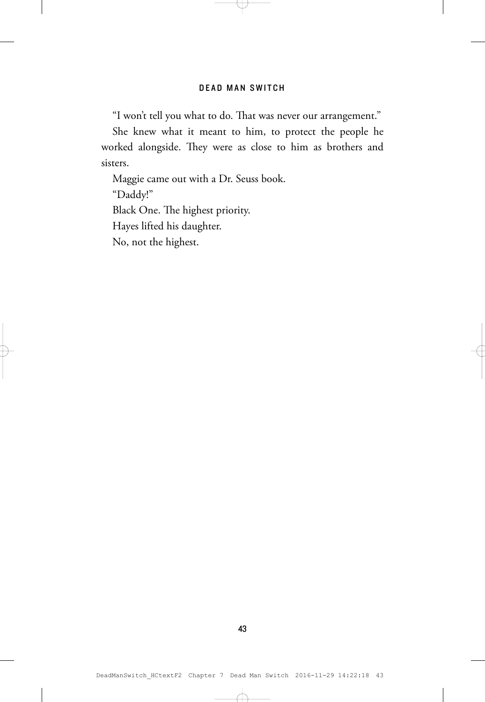"I won't tell you what to do. That was never our arrangement."

She knew what it meant to him, to protect the people he worked alongside. They were as close to him as brothers and sisters.

Maggie came out with a Dr. Seuss book. "Daddy!" Black One. The highest priority. Hayes lifted his daughter. No, not the highest.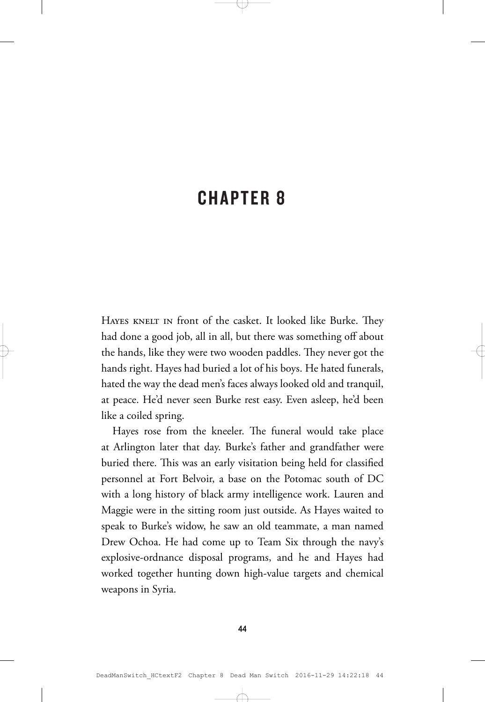## CHAPTER 8

HAYES KNELT IN front of the casket. It looked like Burke. They had done a good job, all in all, but there was something off about the hands, like they were two wooden paddles. They never got the hands right. Hayes had buried a lot of his boys. He hated funerals, hated the way the dead men's faces always looked old and tranquil, at peace. He'd never seen Burke rest easy. Even asleep, he'd been like a coiled spring.

Hayes rose from the kneeler. The funeral would take place at Arlington later that day. Burke's father and grandfather were buried there. This was an early visitation being held for classified personnel at Fort Belvoir, a base on the Potomac south of DC with a long history of black army intelligence work. Lauren and Maggie were in the sitting room just outside. As Hayes waited to speak to Burke's widow, he saw an old teammate, a man named Drew Ochoa. He had come up to Team Six through the navy's explosive-ordnance disposal programs, and he and Hayes had worked together hunting down high-value targets and chemical weapons in Syria.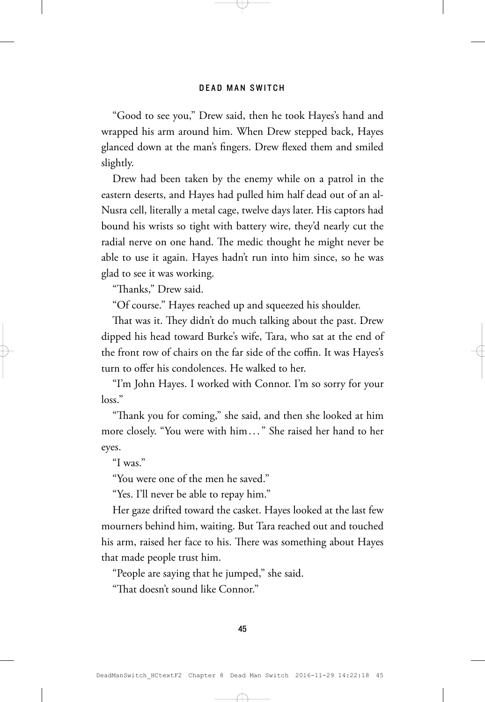"Good to see you," Drew said, then he took Hayes's hand and wrapped his arm around him. When Drew stepped back, Hayes glanced down at the man's fingers. Drew flexed them and smiled slightly.

Drew had been taken by the enemy while on a patrol in the eastern deserts, and Hayes had pulled him half dead out of an al-Nusra cell, literally a metal cage, twelve days later. His captors had bound his wrists so tight with battery wire, they'd nearly cut the radial nerve on one hand. The medic thought he might never be able to use it again. Hayes hadn't run into him since, so he was glad to see it was working.

"Thanks," Drew said.

"Of course." Hayes reached up and squeezed his shoulder.

That was it. They didn't do much talking about the past. Drew dipped his head toward Burke's wife, Tara, who sat at the end of the front row of chairs on the far side of the coffin. It was Hayes's turn to offer his condolences. He walked to her.

"I'm John Hayes. I worked with Connor. I'm so sorry for your loss."

"Thank you for coming," she said, and then she looked at him more closely. "You were with him . . . " She raised her hand to her eyes.

"I was."

"You were one of the men he saved."

"Yes. I'll never be able to repay him."

Her gaze drifted toward the casket. Hayes looked at the last few mourners behind him, waiting. But Tara reached out and touched his arm, raised her face to his. There was something about Hayes that made people trust him.

"People are saying that he jumped," she said.

"That doesn't sound like Connor."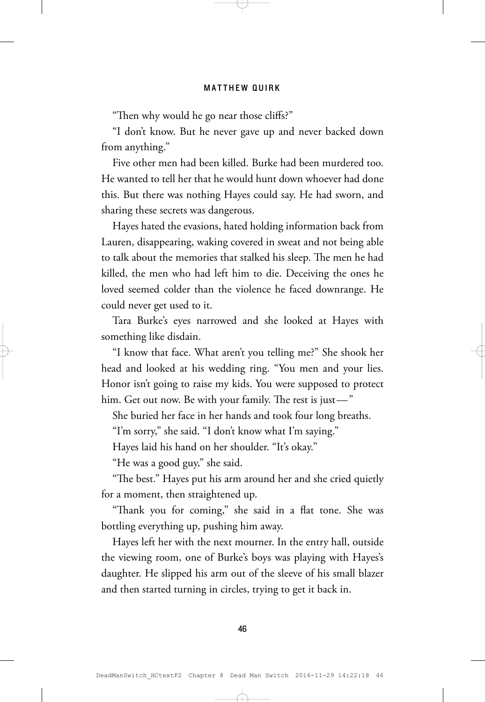"Then why would he go near those cliffs?"

"I don't know. But he never gave up and never backed down from anything."

Five other men had been killed. Burke had been murdered too. He wanted to tell her that he would hunt down whoever had done this. But there was nothing Hayes could say. He had sworn, and sharing these secrets was dangerous.

Hayes hated the evasions, hated holding information back from Lauren, disappearing, waking covered in sweat and not being able to talk about the memories that stalked his sleep. The men he had killed, the men who had left him to die. Deceiving the ones he loved seemed colder than the violence he faced downrange. He could never get used to it.

Tara Burke's eyes narrowed and she looked at Hayes with something like disdain.

"I know that face. What aren't you telling me?" She shook her head and looked at his wedding ring. "You men and your lies. Honor isn't going to raise my kids. You were supposed to protect him. Get out now. Be with your family. The rest is just—"

She buried her face in her hands and took four long breaths.

"I'm sorry," she said. "I don't know what I'm saying."

Hayes laid his hand on her shoulder. "It's okay."

"He was a good guy," she said.

"The best." Hayes put his arm around her and she cried quietly for a moment, then straightened up.

"Thank you for coming," she said in a flat tone. She was bottling everything up, pushing him away.

Hayes left her with the next mourner. In the entry hall, outside the viewing room, one of Burke's boys was playing with Hayes's daughter. He slipped his arm out of the sleeve of his small blazer and then started turning in circles, trying to get it back in.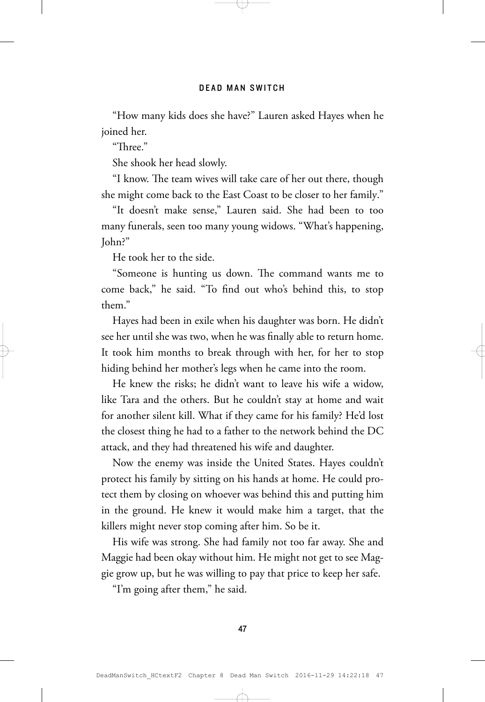"How many kids does she have?" Lauren asked Hayes when he joined her.

"Three."

She shook her head slowly.

"I know. The team wives will take care of her out there, though she might come back to the East Coast to be closer to her family."

"It doesn't make sense," Lauren said. She had been to too many funerals, seen too many young widows. "What's happening, John?"

He took her to the side.

"Someone is hunting us down. The command wants me to come back," he said. "To find out who's behind this, to stop them."

Hayes had been in exile when his daughter was born. He didn't see her until she was two, when he was finally able to return home. It took him months to break through with her, for her to stop hiding behind her mother's legs when he came into the room.

He knew the risks; he didn't want to leave his wife a widow, like Tara and the others. But he couldn't stay at home and wait for another silent kill. What if they came for his family? He'd lost the closest thing he had to a father to the network behind the DC attack, and they had threatened his wife and daughter.

Now the enemy was inside the United States. Hayes couldn't protect his family by sitting on his hands at home. He could protect them by closing on whoever was behind this and putting him in the ground. He knew it would make him a target, that the killers might never stop coming after him. So be it.

His wife was strong. She had family not too far away. She and Maggie had been okay without him. He might not get to see Maggie grow up, but he was willing to pay that price to keep her safe.

"I'm going after them," he said.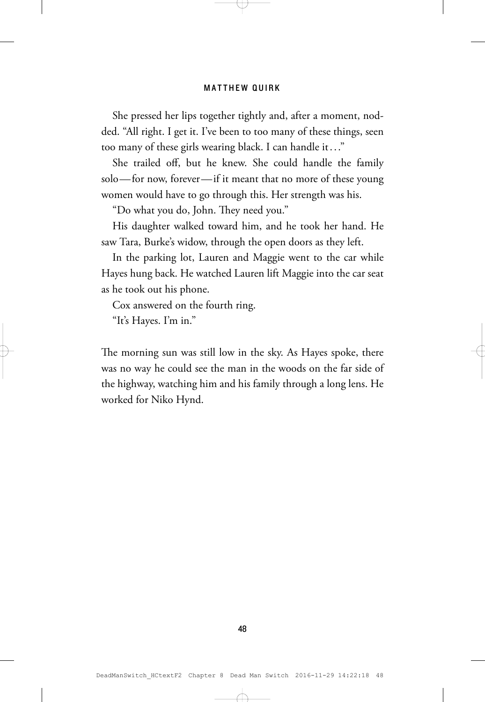She pressed her lips together tightly and, after a moment, nodded. "All right. I get it. I've been to too many of these things, seen too many of these girls wearing black. I can handle it . . ."

She trailed off, but he knew. She could handle the family solo—for now, forever—if it meant that no more of these young women would have to go through this. Her strength was his.

"Do what you do, John. They need you."

His daughter walked toward him, and he took her hand. He saw Tara, Burke's widow, through the open doors as they left.

In the parking lot, Lauren and Maggie went to the car while Hayes hung back. He watched Lauren lift Maggie into the car seat as he took out his phone.

Cox answered on the fourth ring. "It's Hayes. I'm in."

The morning sun was still low in the sky. As Hayes spoke, there was no way he could see the man in the woods on the far side of the highway, watching him and his family through a long lens. He worked for Niko Hynd.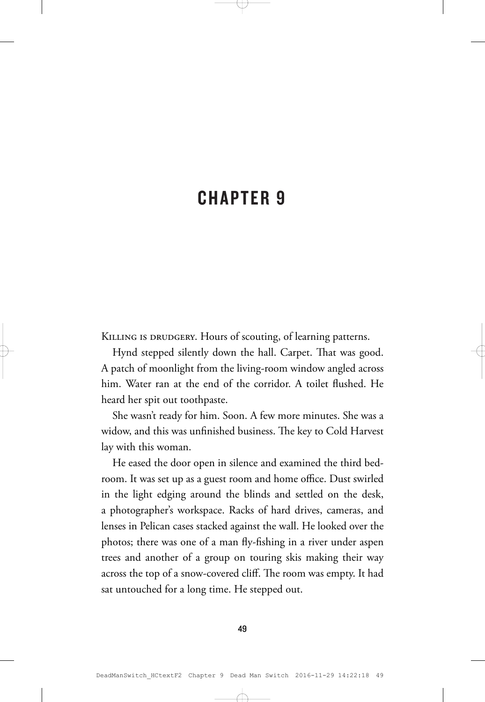## CHAPTER 9

Killing is drudgery. Hours of scouting, of learning patterns.

Hynd stepped silently down the hall. Carpet. That was good. A patch of moonlight from the living-room window angled across him. Water ran at the end of the corridor. A toilet flushed. He heard her spit out toothpaste.

She wasn't ready for him. Soon. A few more minutes. She was a widow, and this was unfinished business. The key to Cold Harvest lay with this woman.

He eased the door open in silence and examined the third bedroom. It was set up as a guest room and home office. Dust swirled in the light edging around the blinds and settled on the desk, a photographer's workspace. Racks of hard drives, cameras, and lenses in Pelican cases stacked against the wall. He looked over the photos; there was one of a man fly-fishing in a river under aspen trees and another of a group on touring skis making their way across the top of a snow-covered cliff. The room was empty. It had sat untouched for a long time. He stepped out.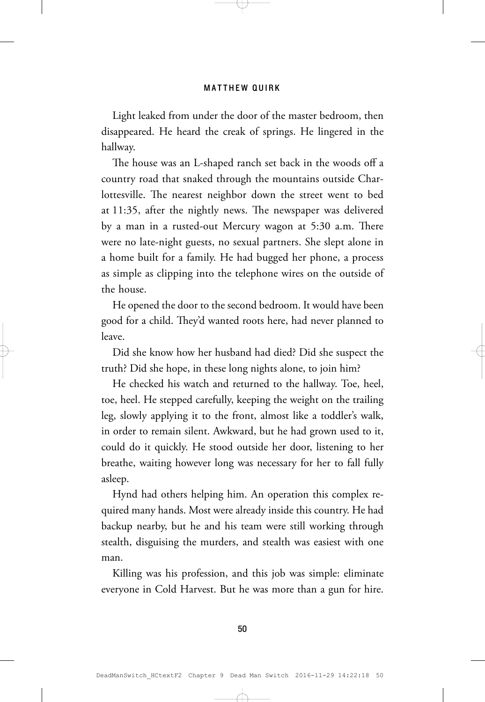Light leaked from under the door of the master bedroom, then disappeared. He heard the creak of springs. He lingered in the hallway.

The house was an L-shaped ranch set back in the woods off a country road that snaked through the mountains outside Charlottesville. The nearest neighbor down the street went to bed at 11:35, after the nightly news. The newspaper was delivered by a man in a rusted-out Mercury wagon at 5:30 a.m. There were no late-night guests, no sexual partners. She slept alone in a home built for a family. He had bugged her phone, a process as simple as clipping into the telephone wires on the outside of the house.

He opened the door to the second bedroom. It would have been good for a child. They'd wanted roots here, had never planned to leave.

Did she know how her husband had died? Did she suspect the truth? Did she hope, in these long nights alone, to join him?

He checked his watch and returned to the hallway. Toe, heel, toe, heel. He stepped carefully, keeping the weight on the trailing leg, slowly applying it to the front, almost like a toddler's walk, in order to remain silent. Awkward, but he had grown used to it, could do it quickly. He stood outside her door, listening to her breathe, waiting however long was necessary for her to fall fully asleep.

Hynd had others helping him. An operation this complex required many hands. Most were already inside this country. He had backup nearby, but he and his team were still working through stealth, disguising the murders, and stealth was easiest with one man.

Killing was his profession, and this job was simple: eliminate everyone in Cold Harvest. But he was more than a gun for hire.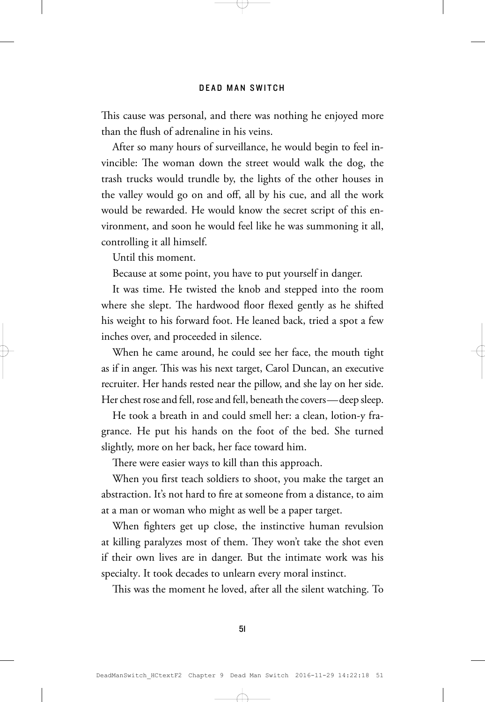This cause was personal, and there was nothing he enjoyed more than the flush of adrenaline in his veins.

After so many hours of surveillance, he would begin to feel invincible: The woman down the street would walk the dog, the trash trucks would trundle by, the lights of the other houses in the valley would go on and off, all by his cue, and all the work would be rewarded. He would know the secret script of this environment, and soon he would feel like he was summoning it all, controlling it all himself.

Until this moment.

Because at some point, you have to put yourself in danger.

It was time. He twisted the knob and stepped into the room where she slept. The hardwood floor flexed gently as he shifted his weight to his forward foot. He leaned back, tried a spot a few inches over, and proceeded in silence.

When he came around, he could see her face, the mouth tight as if in anger. This was his next target, Carol Duncan, an executive recruiter. Her hands rested near the pillow, and she lay on her side. Her chest rose and fell, rose and fell, beneath the covers—deep sleep.

He took a breath in and could smell her: a clean, lotion-y fragrance. He put his hands on the foot of the bed. She turned slightly, more on her back, her face toward him.

There were easier ways to kill than this approach.

When you first teach soldiers to shoot, you make the target an abstraction. It's not hard to fire at someone from a distance, to aim at a man or woman who might as well be a paper target.

When fighters get up close, the instinctive human revulsion at killing paralyzes most of them. They won't take the shot even if their own lives are in danger. But the intimate work was his specialty. It took decades to unlearn every moral instinct.

This was the moment he loved, after all the silent watching. To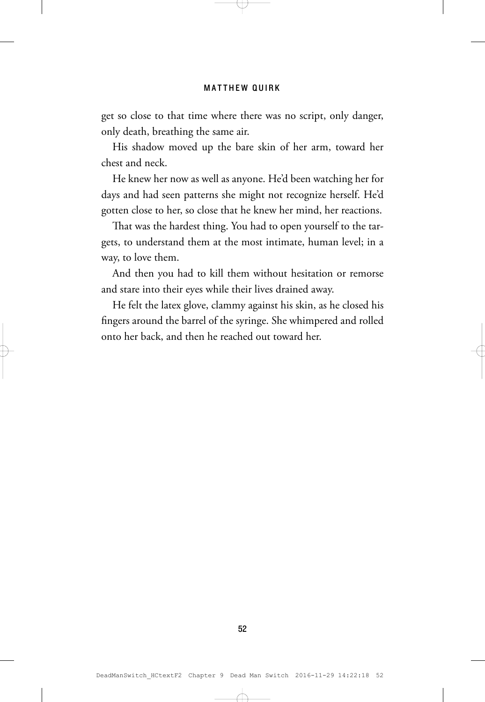get so close to that time where there was no script, only danger, only death, breathing the same air.

His shadow moved up the bare skin of her arm, toward her chest and neck.

He knew her now as well as anyone. He'd been watching her for days and had seen patterns she might not recognize herself. He'd gotten close to her, so close that he knew her mind, her reactions.

That was the hardest thing. You had to open yourself to the targets, to understand them at the most intimate, human level; in a way, to love them.

And then you had to kill them without hesitation or remorse and stare into their eyes while their lives drained away.

He felt the latex glove, clammy against his skin, as he closed his fingers around the barrel of the syringe. She whimpered and rolled onto her back, and then he reached out toward her.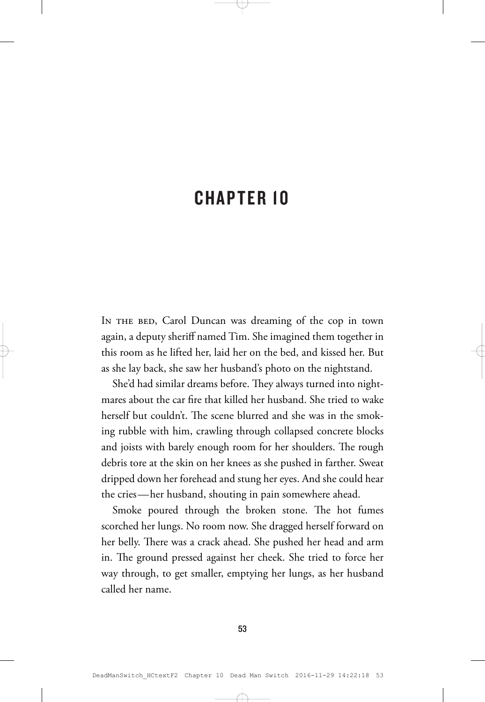## CHAPTER 10

IN THE BED, Carol Duncan was dreaming of the cop in town again, a deputy sheriff named Tim. She imagined them together in this room as he lifted her, laid her on the bed, and kissed her. But as she lay back, she saw her husband's photo on the nightstand.

She'd had similar dreams before. They always turned into nightmares about the car fire that killed her husband. She tried to wake herself but couldn't. The scene blurred and she was in the smoking rubble with him, crawling through collapsed concrete blocks and joists with barely enough room for her shoulders. The rough debris tore at the skin on her knees as she pushed in farther. Sweat dripped down her forehead and stung her eyes. And she could hear the cries—her husband, shouting in pain somewhere ahead.

Smoke poured through the broken stone. The hot fumes scorched her lungs. No room now. She dragged herself forward on her belly. There was a crack ahead. She pushed her head and arm in. The ground pressed against her cheek. She tried to force her way through, to get smaller, emptying her lungs, as her husband called her name.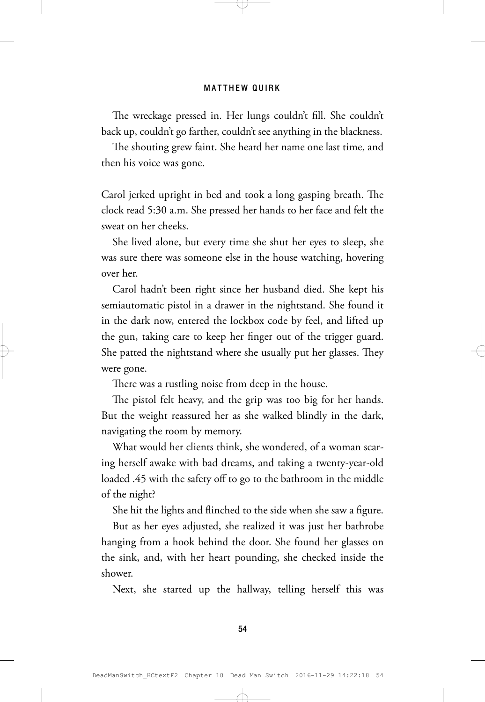The wreckage pressed in. Her lungs couldn't fill. She couldn't back up, couldn't go farther, couldn't see anything in the blackness.

The shouting grew faint. She heard her name one last time, and then his voice was gone.

Carol jerked upright in bed and took a long gasping breath. The clock read 5:30 a.m. She pressed her hands to her face and felt the sweat on her cheeks.

She lived alone, but every time she shut her eyes to sleep, she was sure there was someone else in the house watching, hovering over her.

Carol hadn't been right since her husband died. She kept his semiautomatic pistol in a drawer in the nightstand. She found it in the dark now, entered the lockbox code by feel, and lifted up the gun, taking care to keep her finger out of the trigger guard. She patted the nightstand where she usually put her glasses. They were gone.

There was a rustling noise from deep in the house.

The pistol felt heavy, and the grip was too big for her hands. But the weight reassured her as she walked blindly in the dark, navigating the room by memory.

What would her clients think, she wondered, of a woman scaring herself awake with bad dreams, and taking a twenty-year-old loaded .45 with the safety off to go to the bathroom in the middle of the night?

She hit the lights and flinched to the side when she saw a figure.

But as her eyes adjusted, she realized it was just her bathrobe hanging from a hook behind the door. She found her glasses on the sink, and, with her heart pounding, she checked inside the shower.

Next, she started up the hallway, telling herself this was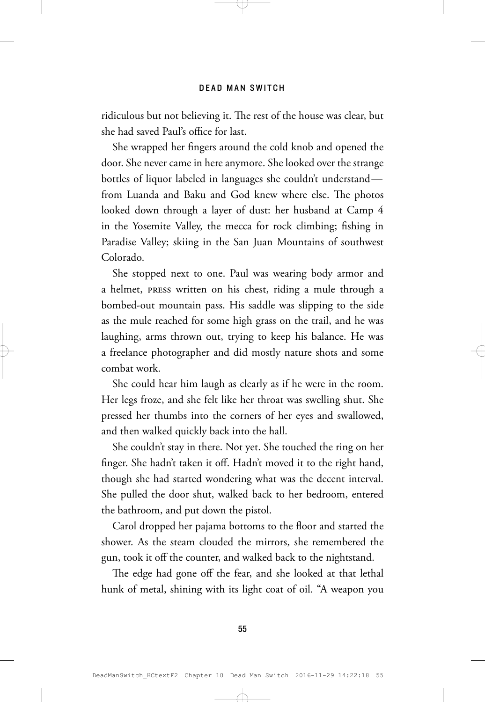ridiculous but not believing it. The rest of the house was clear, but she had saved Paul's office for last.

She wrapped her fingers around the cold knob and opened the door. She never came in here anymore. She looked over the strange bottles of liquor labeled in languages she couldn't understand from Luanda and Baku and God knew where else. The photos looked down through a layer of dust: her husband at Camp 4 in the Yosemite Valley, the mecca for rock climbing; fishing in Paradise Valley; skiing in the San Juan Mountains of southwest Colorado.

She stopped next to one. Paul was wearing body armor and a helmet, press written on his chest, riding a mule through a bombed-out mountain pass. His saddle was slipping to the side as the mule reached for some high grass on the trail, and he was laughing, arms thrown out, trying to keep his balance. He was a freelance photographer and did mostly nature shots and some combat work.

She could hear him laugh as clearly as if he were in the room. Her legs froze, and she felt like her throat was swelling shut. She pressed her thumbs into the corners of her eyes and swallowed, and then walked quickly back into the hall.

She couldn't stay in there. Not yet. She touched the ring on her finger. She hadn't taken it off. Hadn't moved it to the right hand, though she had started wondering what was the decent interval. She pulled the door shut, walked back to her bedroom, entered the bathroom, and put down the pistol.

Carol dropped her pajama bottoms to the floor and started the shower. As the steam clouded the mirrors, she remembered the gun, took it off the counter, and walked back to the nightstand.

The edge had gone off the fear, and she looked at that lethal hunk of metal, shining with its light coat of oil. "A weapon you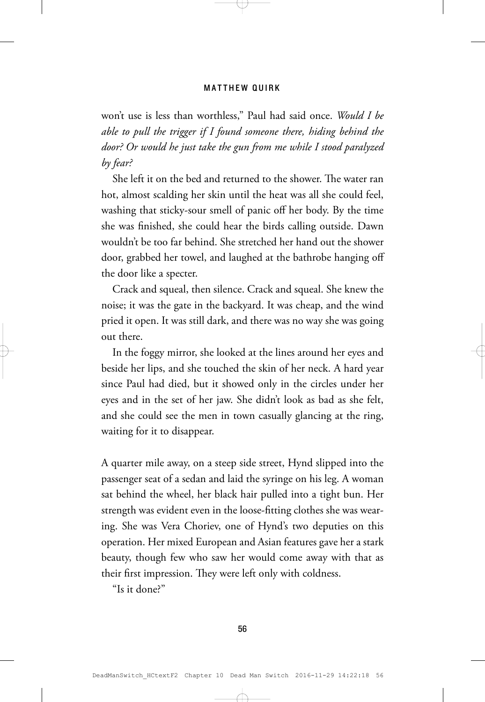won't use is less than worthless," Paul had said once. *Would I be able to pull the trigger if I found someone there, hiding behind the door? Or would he just take the gun from me while I stood paralyzed by fear?*

She left it on the bed and returned to the shower. The water ran hot, almost scalding her skin until the heat was all she could feel, washing that sticky-sour smell of panic off her body. By the time she was finished, she could hear the birds calling outside. Dawn wouldn't be too far behind. She stretched her hand out the shower door, grabbed her towel, and laughed at the bathrobe hanging off the door like a specter.

Crack and squeal, then silence. Crack and squeal. She knew the noise; it was the gate in the backyard. It was cheap, and the wind pried it open. It was still dark, and there was no way she was going out there.

In the foggy mirror, she looked at the lines around her eyes and beside her lips, and she touched the skin of her neck. A hard year since Paul had died, but it showed only in the circles under her eyes and in the set of her jaw. She didn't look as bad as she felt, and she could see the men in town casually glancing at the ring, waiting for it to disappear.

A quarter mile away, on a steep side street, Hynd slipped into the passenger seat of a sedan and laid the syringe on his leg. A woman sat behind the wheel, her black hair pulled into a tight bun. Her strength was evident even in the loose-fitting clothes she was wearing. She was Vera Choriev, one of Hynd's two deputies on this operation. Her mixed European and Asian features gave her a stark beauty, though few who saw her would come away with that as their first impression. They were left only with coldness.

"Is it done?"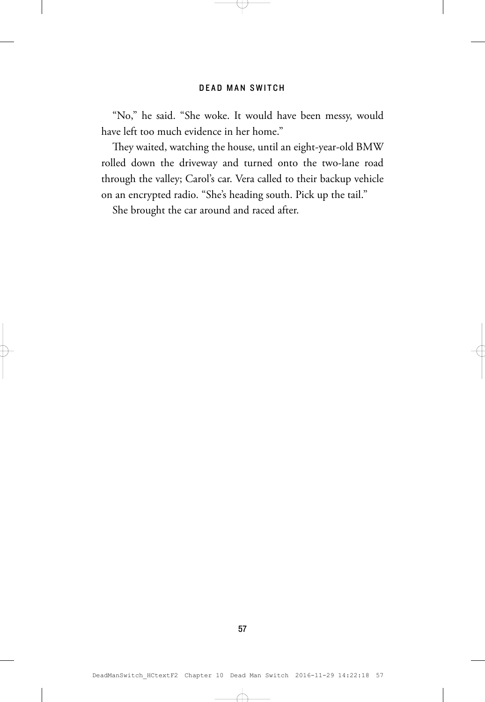"No," he said. "She woke. It would have been messy, would have left too much evidence in her home."

They waited, watching the house, until an eight-year-old BMW rolled down the driveway and turned onto the two-lane road through the valley; Carol's car. Vera called to their backup vehicle on an encrypted radio. "She's heading south. Pick up the tail."

She brought the car around and raced after.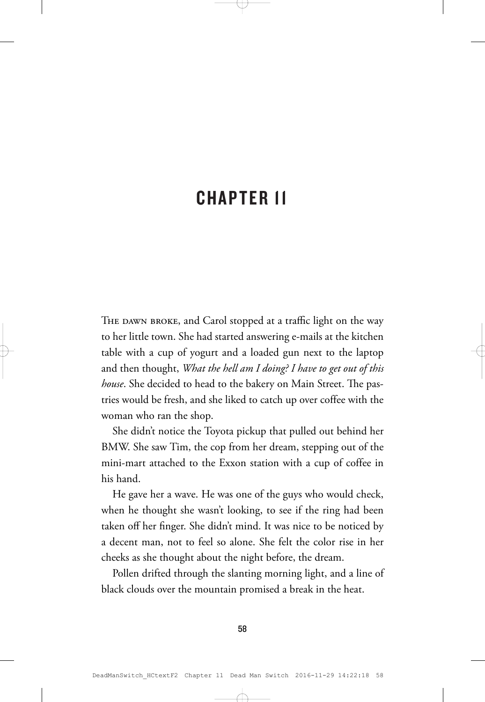# CHAPTER 11

THE DAWN BROKE, and Carol stopped at a traffic light on the way to her little town. She had started answering e-mails at the kitchen table with a cup of yogurt and a loaded gun next to the laptop and then thought, *What the hell am I doing? I have to get out of this house*. She decided to head to the bakery on Main Street. The pastries would be fresh, and she liked to catch up over coffee with the woman who ran the shop.

She didn't notice the Toyota pickup that pulled out behind her BMW. She saw Tim, the cop from her dream, stepping out of the mini-mart attached to the Exxon station with a cup of coffee in his hand.

He gave her a wave. He was one of the guys who would check, when he thought she wasn't looking, to see if the ring had been taken off her finger. She didn't mind. It was nice to be noticed by a decent man, not to feel so alone. She felt the color rise in her cheeks as she thought about the night before, the dream.

Pollen drifted through the slanting morning light, and a line of black clouds over the mountain promised a break in the heat.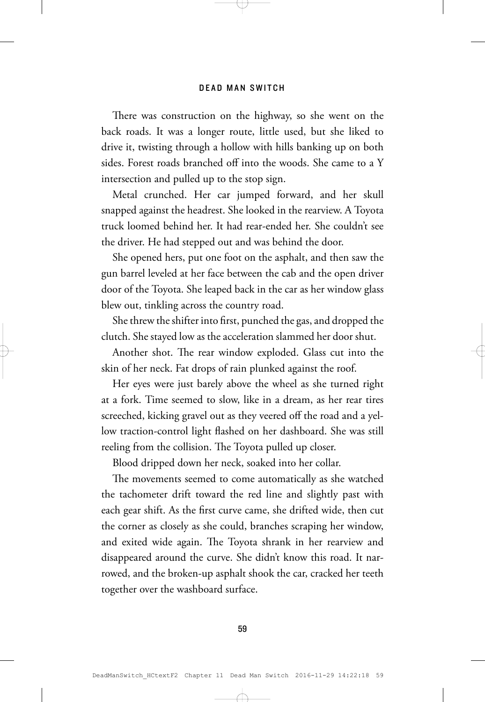There was construction on the highway, so she went on the back roads. It was a longer route, little used, but she liked to drive it, twisting through a hollow with hills banking up on both sides. Forest roads branched off into the woods. She came to a Y intersection and pulled up to the stop sign.

Metal crunched. Her car jumped forward, and her skull snapped against the headrest. She looked in the rearview. A Toyota truck loomed behind her. It had rear-ended her. She couldn't see the driver. He had stepped out and was behind the door.

She opened hers, put one foot on the asphalt, and then saw the gun barrel leveled at her face between the cab and the open driver door of the Toyota. She leaped back in the car as her window glass blew out, tinkling across the country road.

She threw the shifter into first, punched the gas, and dropped the clutch. She stayed low as the acceleration slammed her door shut.

Another shot. The rear window exploded. Glass cut into the skin of her neck. Fat drops of rain plunked against the roof.

Her eyes were just barely above the wheel as she turned right at a fork. Time seemed to slow, like in a dream, as her rear tires screeched, kicking gravel out as they veered off the road and a yellow traction-control light flashed on her dashboard. She was still reeling from the collision. The Toyota pulled up closer.

Blood dripped down her neck, soaked into her collar.

The movements seemed to come automatically as she watched the tachometer drift toward the red line and slightly past with each gear shift. As the first curve came, she drifted wide, then cut the corner as closely as she could, branches scraping her window, and exited wide again. The Toyota shrank in her rearview and disappeared around the curve. She didn't know this road. It narrowed, and the broken-up asphalt shook the car, cracked her teeth together over the washboard surface.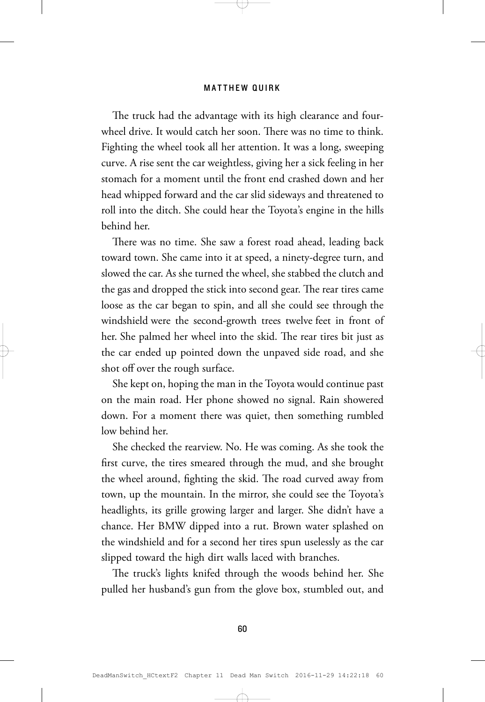The truck had the advantage with its high clearance and fourwheel drive. It would catch her soon. There was no time to think. Fighting the wheel took all her attention. It was a long, sweeping curve. A rise sent the car weightless, giving her a sick feeling in her stomach for a moment until the front end crashed down and her head whipped forward and the car slid sideways and threatened to roll into the ditch. She could hear the Toyota's engine in the hills behind her.

There was no time. She saw a forest road ahead, leading back toward town. She came into it at speed, a ninety-degree turn, and slowed the car. As she turned the wheel, she stabbed the clutch and the gas and dropped the stick into second gear. The rear tires came loose as the car began to spin, and all she could see through the windshield were the second-growth trees twelve feet in front of her. She palmed her wheel into the skid. The rear tires bit just as the car ended up pointed down the unpaved side road, and she shot off over the rough surface.

She kept on, hoping the man in the Toyota would continue past on the main road. Her phone showed no signal. Rain showered down. For a moment there was quiet, then something rumbled low behind her.

She checked the rearview. No. He was coming. As she took the first curve, the tires smeared through the mud, and she brought the wheel around, fighting the skid. The road curved away from town, up the mountain. In the mirror, she could see the Toyota's headlights, its grille growing larger and larger. She didn't have a chance. Her BMW dipped into a rut. Brown water splashed on the windshield and for a second her tires spun uselessly as the car slipped toward the high dirt walls laced with branches.

The truck's lights knifed through the woods behind her. She pulled her husband's gun from the glove box, stumbled out, and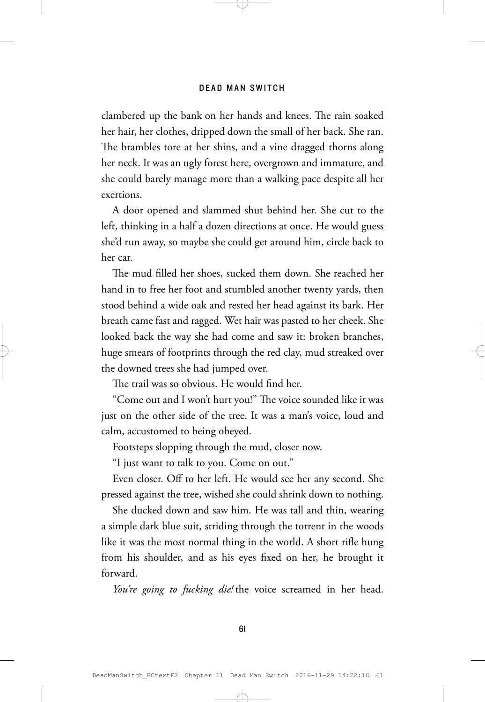clambered up the bank on her hands and knees. The rain soaked her hair, her clothes, dripped down the small of her back. She ran. The brambles tore at her shins, and a vine dragged thorns along her neck. It was an ugly forest here, overgrown and immature, and she could barely manage more than a walking pace despite all her exertions.

A door opened and slammed shut behind her. She cut to the left, thinking in a half a dozen directions at once. He would guess she'd run away, so maybe she could get around him, circle back to her car.

The mud filled her shoes, sucked them down. She reached her hand in to free her foot and stumbled another twenty yards, then stood behind a wide oak and rested her head against its bark. Her breath came fast and ragged. Wet hair was pasted to her cheek. She looked back the way she had come and saw it: broken branches, huge smears of footprints through the red clay, mud streaked over the downed trees she had jumped over.

The trail was so obvious. He would find her.

"Come out and I won't hurt you!" The voice sounded like it was just on the other side of the tree. It was a man's voice, loud and calm, accustomed to being obeyed.

Footsteps slopping through the mud, closer now.

"I just want to talk to you. Come on out."

Even closer. Off to her left. He would see her any second. She pressed against the tree, wished she could shrink down to nothing.

She ducked down and saw him. He was tall and thin, wearing a simple dark blue suit, striding through the torrent in the woods like it was the most normal thing in the world. A short rifle hung from his shoulder, and as his eyes fixed on her, he brought it forward.

*You're going to fucking die!* the voice screamed in her head.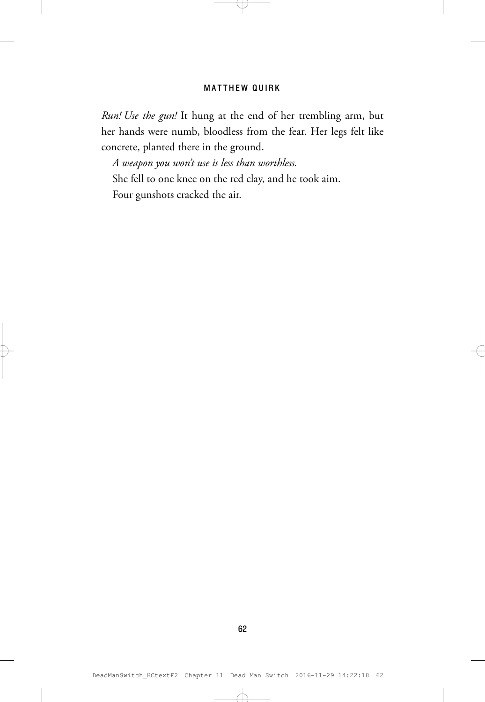*Run! Use the gun!* It hung at the end of her trembling arm, but her hands were numb, bloodless from the fear. Her legs felt like concrete, planted there in the ground.

*A weapon you won't use is less than worthless.* She fell to one knee on the red clay, and he took aim. Four gunshots cracked the air.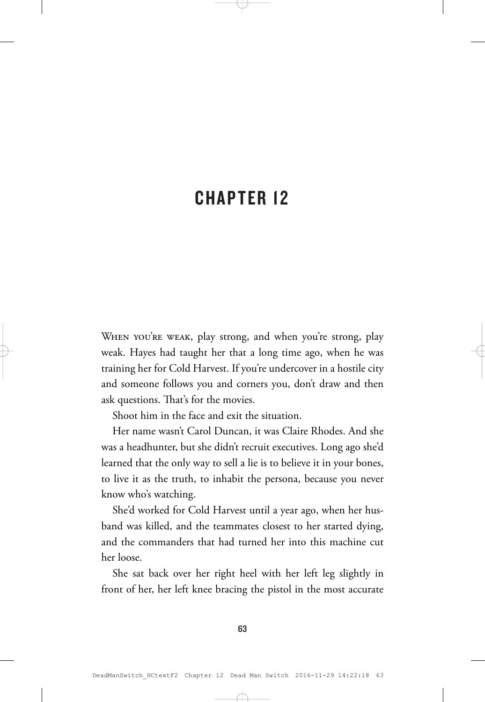# CHAPTER 12

WHEN YOU'RE WEAK, play strong, and when you're strong, play weak. Hayes had taught her that a long time ago, when he was training her for Cold Harvest. If you're undercover in a hostile city and someone follows you and corners you, don't draw and then ask questions. That's for the movies.

Shoot him in the face and exit the situation.

Her name wasn't Carol Duncan, it was Claire Rhodes. And she was a headhunter, but she didn't recruit executives. Long ago she'd learned that the only way to sell a lie is to believe it in your bones, to live it as the truth, to inhabit the persona, because you never know who's watching.

She'd worked for Cold Harvest until a year ago, when her husband was killed, and the teammates closest to her started dying, and the commanders that had turned her into this machine cut her loose.

She sat back over her right heel with her left leg slightly in front of her, her left knee bracing the pistol in the most accurate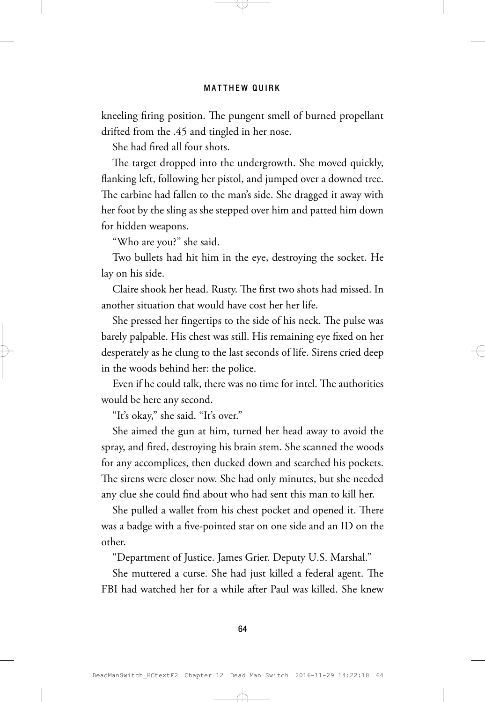kneeling firing position. The pungent smell of burned propellant drifted from the .45 and tingled in her nose.

She had fired all four shots.

The target dropped into the undergrowth. She moved quickly, flanking left, following her pistol, and jumped over a downed tree. The carbine had fallen to the man's side. She dragged it away with her foot by the sling as she stepped over him and patted him down for hidden weapons.

"Who are you?" she said.

Two bullets had hit him in the eye, destroying the socket. He lay on his side.

Claire shook her head. Rusty. The first two shots had missed. In another situation that would have cost her her life.

She pressed her fingertips to the side of his neck. The pulse was barely palpable. His chest was still. His remaining eye fixed on her desperately as he clung to the last seconds of life. Sirens cried deep in the woods behind her: the police.

Even if he could talk, there was no time for intel. The authorities would be here any second.

"It's okay," she said. "It's over."

She aimed the gun at him, turned her head away to avoid the spray, and fired, destroying his brain stem. She scanned the woods for any accomplices, then ducked down and searched his pockets. The sirens were closer now. She had only minutes, but she needed any clue she could find about who had sent this man to kill her.

She pulled a wallet from his chest pocket and opened it. There was a badge with a five-pointed star on one side and an ID on the other.

"Department of Justice. James Grier. Deputy U.S. Marshal."

She muttered a curse. She had just killed a federal agent. The FBI had watched her for a while after Paul was killed. She knew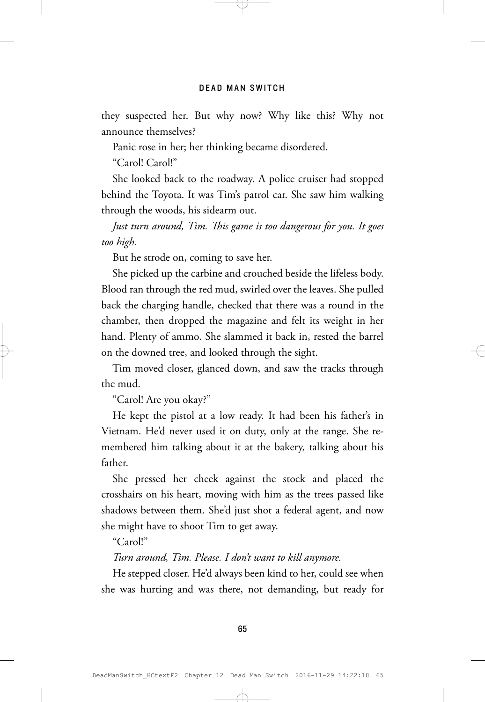they suspected her. But why now? Why like this? Why not announce themselves?

Panic rose in her; her thinking became disordered.

"Carol! Carol!"

She looked back to the roadway. A police cruiser had stopped behind the Toyota. It was Tim's patrol car. She saw him walking through the woods, his sidearm out.

*Just turn around, Tim. This game is too dangerous for you. It goes too high.*

But he strode on, coming to save her.

She picked up the carbine and crouched beside the lifeless body. Blood ran through the red mud, swirled over the leaves. She pulled back the charging handle, checked that there was a round in the chamber, then dropped the magazine and felt its weight in her hand. Plenty of ammo. She slammed it back in, rested the barrel on the downed tree, and looked through the sight.

Tim moved closer, glanced down, and saw the tracks through the mud.

"Carol! Are you okay?"

He kept the pistol at a low ready. It had been his father's in Vietnam. He'd never used it on duty, only at the range. She remembered him talking about it at the bakery, talking about his father.

She pressed her cheek against the stock and placed the crosshairs on his heart, moving with him as the trees passed like shadows between them. She'd just shot a federal agent, and now she might have to shoot Tim to get away.

"Carol!"

*Turn around, Tim. Please. I don't want to kill anymore.*

He stepped closer. He'd always been kind to her, could see when she was hurting and was there, not demanding, but ready for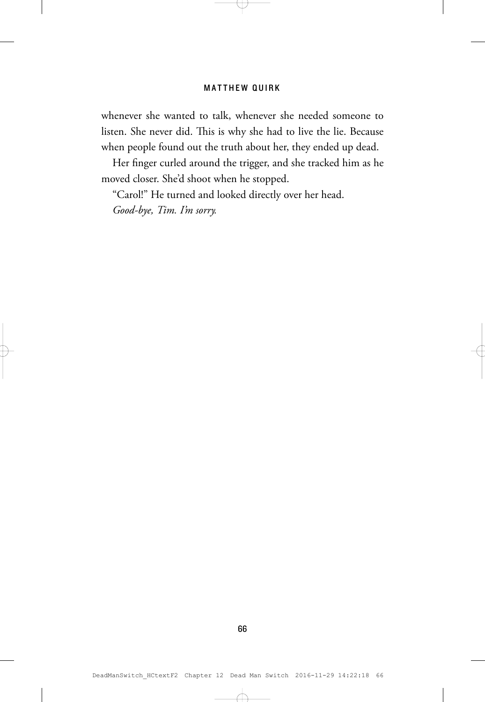whenever she wanted to talk, whenever she needed someone to listen. She never did. This is why she had to live the lie. Because when people found out the truth about her, they ended up dead.

Her finger curled around the trigger, and she tracked him as he moved closer. She'd shoot when he stopped.

"Carol!" He turned and looked directly over her head. *Good-bye, Tim. I'm sorry.*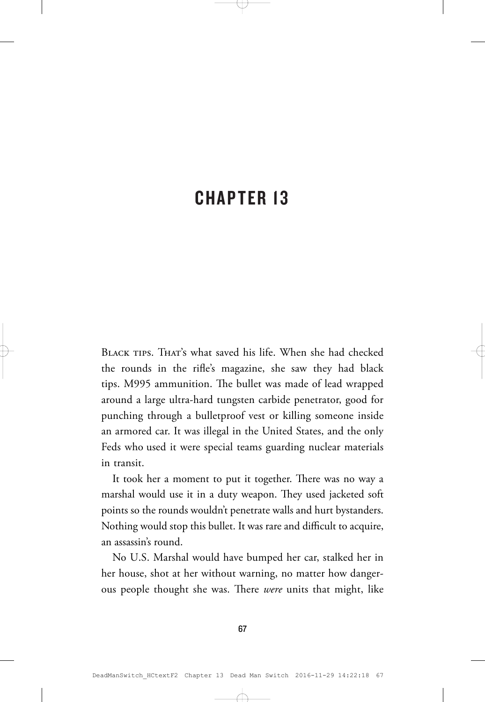# CHAPTER 13

BLACK TIPS. THAT's what saved his life. When she had checked the rounds in the rifle's magazine, she saw they had black tips. M995 ammunition. The bullet was made of lead wrapped around a large ultra-hard tungsten carbide penetrator, good for punching through a bulletproof vest or killing someone inside an armored car. It was illegal in the United States, and the only Feds who used it were special teams guarding nuclear materials in transit.

It took her a moment to put it together. There was no way a marshal would use it in a duty weapon. They used jacketed soft points so the rounds wouldn't penetrate walls and hurt bystanders. Nothing would stop this bullet. It was rare and difficult to acquire, an assassin's round.

No U.S. Marshal would have bumped her car, stalked her in her house, shot at her without warning, no matter how dangerous people thought she was. There *were* units that might, like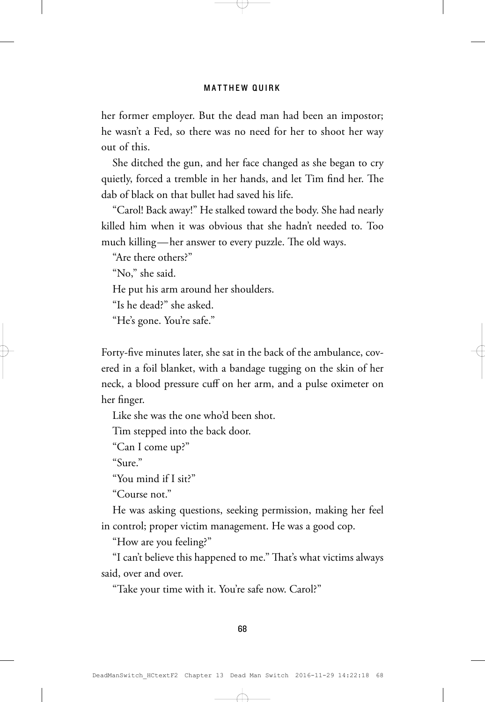her former employer. But the dead man had been an impostor; he wasn't a Fed, so there was no need for her to shoot her way out of this.

She ditched the gun, and her face changed as she began to cry quietly, forced a tremble in her hands, and let Tim find her. The dab of black on that bullet had saved his life.

"Carol! Back away!" He stalked toward the body. She had nearly killed him when it was obvious that she hadn't needed to. Too much killing—her answer to every puzzle. The old ways.

"Are there others?"

"No," she said.

He put his arm around her shoulders.

"Is he dead?" she asked.

"He's gone. You're safe."

Forty-five minutes later, she sat in the back of the ambulance, covered in a foil blanket, with a bandage tugging on the skin of her neck, a blood pressure cuff on her arm, and a pulse oximeter on her finger.

Like she was the one who'd been shot.

Tim stepped into the back door.

"Can I come up?"

"Sure."

"You mind if I sit?"

"Course not."

He was asking questions, seeking permission, making her feel in control; proper victim management. He was a good cop.

"How are you feeling?"

"I can't believe this happened to me." That's what victims always said, over and over.

"Take your time with it. You're safe now. Carol?"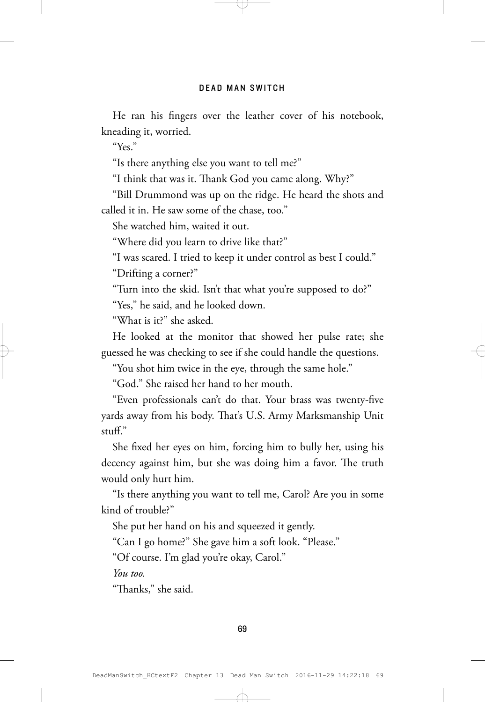He ran his fingers over the leather cover of his notebook, kneading it, worried.

"Yes."

"Is there anything else you want to tell me?"

"I think that was it. Thank God you came along. Why?"

"Bill Drummond was up on the ridge. He heard the shots and called it in. He saw some of the chase, too."

She watched him, waited it out.

"Where did you learn to drive like that?"

"I was scared. I tried to keep it under control as best I could."

"Drifting a corner?"

"Turn into the skid. Isn't that what you're supposed to do?"

"Yes," he said, and he looked down.

"What is it?" she asked.

He looked at the monitor that showed her pulse rate; she guessed he was checking to see if she could handle the questions.

"You shot him twice in the eye, through the same hole."

"God." She raised her hand to her mouth.

"Even professionals can't do that. Your brass was twenty-five yards away from his body. That's U.S. Army Marksmanship Unit stuff."

She fixed her eyes on him, forcing him to bully her, using his decency against him, but she was doing him a favor. The truth would only hurt him.

"Is there anything you want to tell me, Carol? Are you in some kind of trouble?"

She put her hand on his and squeezed it gently.

"Can I go home?" She gave him a soft look. "Please."

"Of course. I'm glad you're okay, Carol."

*You too.*

"Thanks," she said.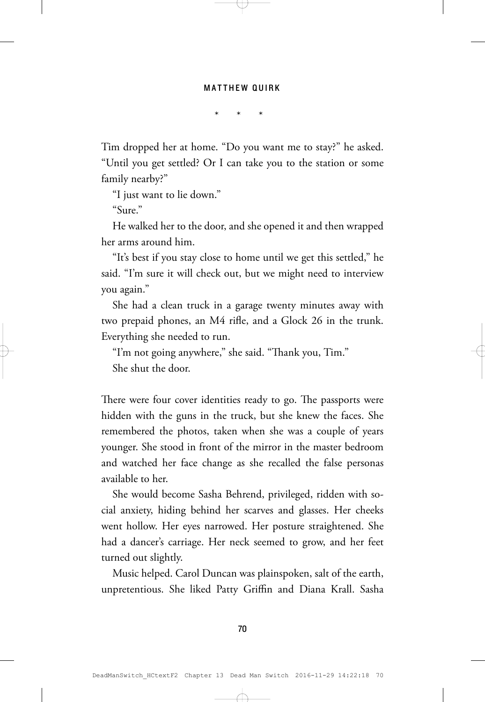\* \* \*

Tim dropped her at home. "Do you want me to stay?" he asked. "Until you get settled? Or I can take you to the station or some family nearby?"

"I just want to lie down."

"Sure."

He walked her to the door, and she opened it and then wrapped her arms around him.

"It's best if you stay close to home until we get this settled," he said. "I'm sure it will check out, but we might need to interview you again."

She had a clean truck in a garage twenty minutes away with two prepaid phones, an M4 rifle, and a Glock 26 in the trunk. Everything she needed to run.

"I'm not going anywhere," she said. "Thank you, Tim." She shut the door.

There were four cover identities ready to go. The passports were hidden with the guns in the truck, but she knew the faces. She remembered the photos, taken when she was a couple of years younger. She stood in front of the mirror in the master bedroom and watched her face change as she recalled the false personas available to her.

She would become Sasha Behrend, privileged, ridden with social anxiety, hiding behind her scarves and glasses. Her cheeks went hollow. Her eyes narrowed. Her posture straightened. She had a dancer's carriage. Her neck seemed to grow, and her feet turned out slightly.

Music helped. Carol Duncan was plainspoken, salt of the earth, unpretentious. She liked Patty Griffin and Diana Krall. Sasha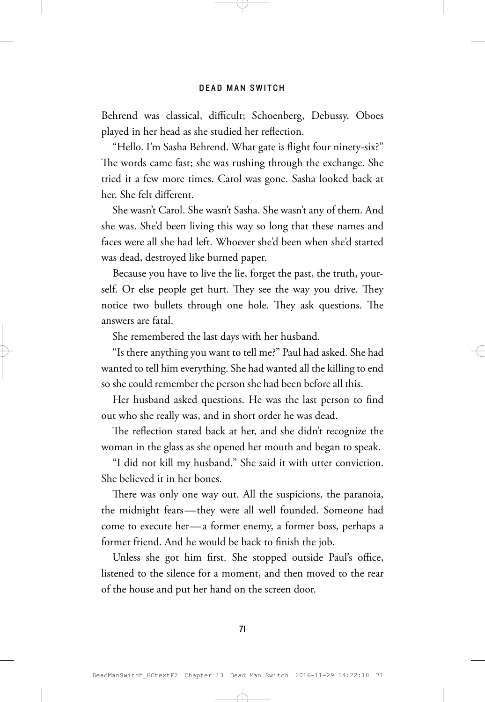Behrend was classical, difficult; Schoenberg, Debussy. Oboes played in her head as she studied her reflection.

"Hello. I'm Sasha Behrend. What gate is flight four ninety-six?" The words came fast; she was rushing through the exchange. She tried it a few more times. Carol was gone. Sasha looked back at her. She felt different.

She wasn't Carol. She wasn't Sasha. She wasn't any of them. And she was. She'd been living this way so long that these names and faces were all she had left. Whoever she'd been when she'd started was dead, destroyed like burned paper.

Because you have to live the lie, forget the past, the truth, yourself. Or else people get hurt. They see the way you drive. They notice two bullets through one hole. They ask questions. The answers are fatal.

She remembered the last days with her husband.

"Is there anything you want to tell me?" Paul had asked. She had wanted to tell him everything. She had wanted all the killing to end so she could remember the person she had been before all this.

Her husband asked questions. He was the last person to find out who she really was, and in short order he was dead.

The reflection stared back at her, and she didn't recognize the woman in the glass as she opened her mouth and began to speak.

"I did not kill my husband." She said it with utter conviction. She believed it in her bones.

There was only one way out. All the suspicions, the paranoia, the midnight fears—they were all well founded. Someone had come to execute her—a former enemy, a former boss, perhaps a former friend. And he would be back to finish the job.

Unless she got him first. She stopped outside Paul's office, listened to the silence for a moment, and then moved to the rear of the house and put her hand on the screen door.